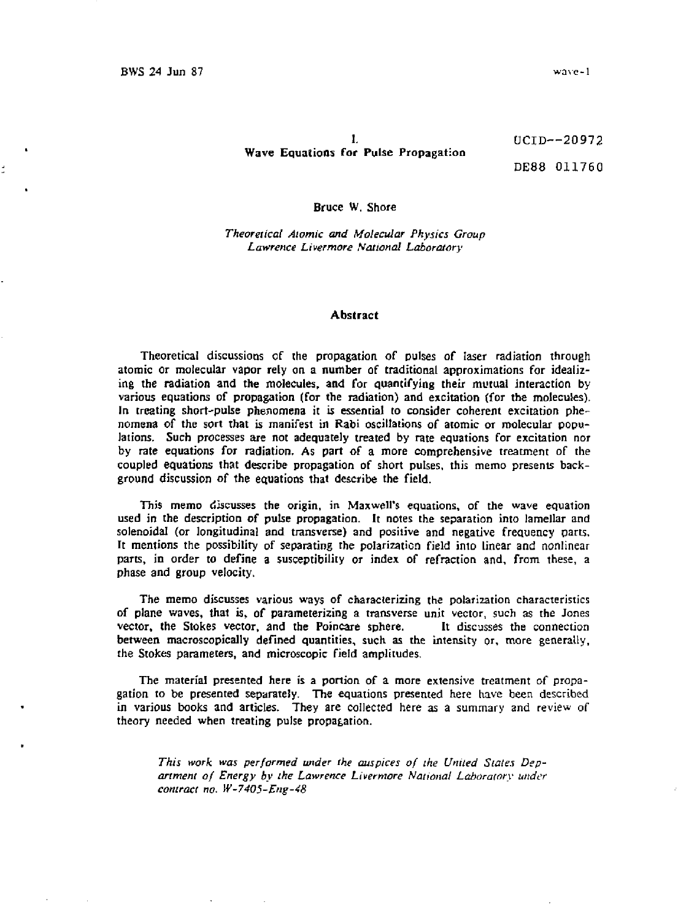# 1. UCID—20972 Wave Equations for Pulse Propagation

DE88 011760

#### Bruce W. Shore

*Theoretical Atomic and Molecular Physics Group Lawrence Livermore National Laboratory* 

## Abstract

Theoretical discussions of the propagation of pulses of laser radiation through atomic or molecular vapor rely on a number of traditional approximations for idealizing the radiation and the molecules, and for quantifying their mutual interaction by various equations of propagation (for the radiation) and excitation (for the molecules). In treating short-pulse phenomena it is essential to consider coherent excitation phenomena of the sort that is manifest in Rabi oscillations of atomic or molecular populations. Such processes are not adequately treated by rate equations for excitation nor by rate equations for radiation. As part of a more comprehensive treatment of the coupled equations that describe propagation of short pulses, this memo presents background discussion of the equations that describe the field.

This memo discusses the origin, in Maxwell's equations, of the wave equation used in the description of pulse propagation. It notes the separation into lamellar and solenoidal (or longitudinal and transverse) and positive and negative frequency parts. It mentions the possibility of separating the polarization field into linear and nonlinear parts, in order to define a susceptibility or index of refraction and, from these, a phase and group velocity.

The memo discusses various ways of characterizing the polarization characteristics of plane waves, that is, of parameterizing a transverse unit vector, such as the Jones vector, the Stokes vector, and the Poincare sphere. It discusses the connection between macroscopically defined quantities, such as the intensity or, more generally, the Stokes parameters, and microscopic field amplitudes.

The material presented here is a portion of a more extensive treatment of propagation to be presented separateiy. The equations presented here have been described in various books and articles. They are collected here as a summary and review of theory needed when treating pulse propagation.

*This work was performed under the auspices of the United Slates Department of Energy by the Lawrence Livermore National Laboratory under contract no. W-7405-Eng-48*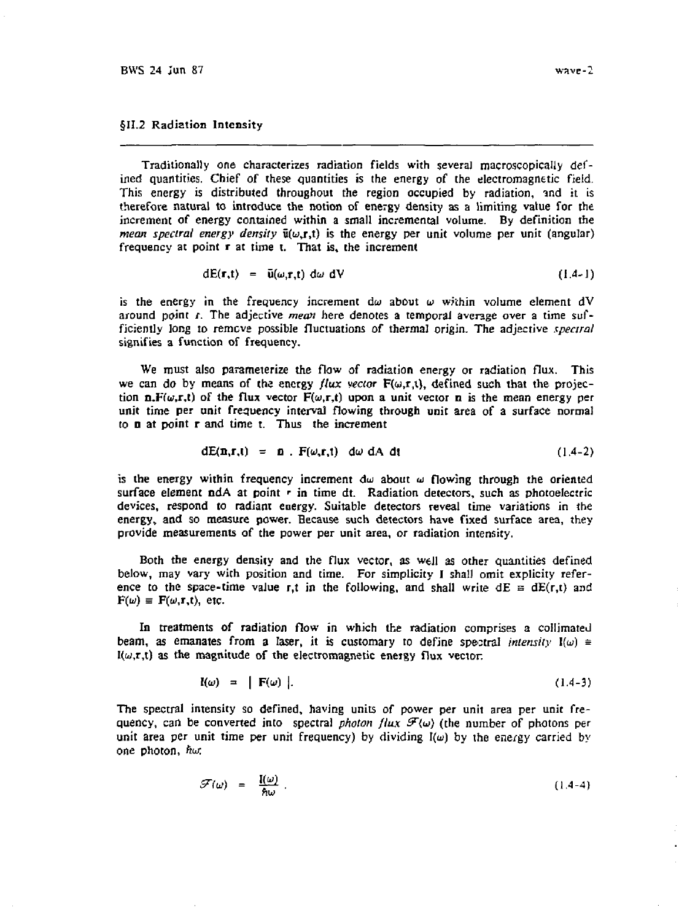## §11.2 Radiation Intensity

Traditionally one characterizes radiation fields with several macroscopically defined quantities. Chief of these quantities is the energy of the electromagnetic field. This energy is distributed throughout the region occupied by radiation, and it is therefore natural to introduce the notion of energy density as a limiting value for the increment of energy contained within a small incremental volume. By definition the *mean spectral energy density*  $\bar{u}(\omega, r, t)$  is the energy per unit volume per unit (angular) frequency at point r at time t. That is, the increment

$$
dE(\mathbf{r},t) = \bar{u}(\omega,\mathbf{r},t) d\omega dV
$$
 (1.4-1)

is the energy in the frequency increment  $d\omega$  about  $\omega$  within volume element  $dV$ around point r. The adjective *mean* here denotes a temporal average over a time sufficiently long to remcve possible fluctuations of thermal origin. The adjective *spectral*  signifies a function of frequency.

We must also parameterize the flow of radiation energy or radiation flux. This we can do by means of the energy *flux vector*  $F(\omega, r, t)$ , defined such that the projection n.F( $\omega$ ,r,t) of the flux vector  $F(\omega,r,t)$  upon a unit vector n is the mean energy per unit time per unit frequency interval flowing through unit area of a surface normal to n at point r and time t. Thus the increment

$$
dE(n,r,t) = n F(\omega,r,t) d\omega dA dt
$$
 (1.4-2)

is the energy within frequency increment du about *ui* flowing through the oriented surface element ndA at point r in time dt. Radiation detectors, such as photoelectric devices, respond to radiant energy. Suitable detectors reveal time variations in the energy, and so measure power. Because such detectors have fixed surface area, they provide measurements of the power per unit area, or radiation intensity.

Both the energy density and the flux vector, as well as other quantities defined below, may vary with position and time. For simplicity I shall omit explicity reference to the space-time value r,t in the following, and shall write  $dE = dE(r,t)$  and  $F(\omega) \equiv F(\omega, r, t)$ , etc.

In treatments of radiation flow in which the radiation comprises a collimated beam, as emanates from a laser, it is customary to define spectral *intensity*  $\mathbf{I}(\omega) \equiv$  $I(\omega,\tau,t)$  as the magnitude of the electromagnetic energy flux vector.

$$
I(\omega) = \int F(\omega) \tag{1.4-3}
$$

The spectral intensity so defined, having units of power per unit area per unit frequency, can be converted into spectral *photon flux*  $\mathcal{F}(\omega)$  (the number of photons per unit area per unit time per unit frequency) by dividing  $I(\omega)$  by the energy carried by one photon, fiw

$$
\mathcal{F}(\omega) = \frac{\mathbf{I}(\omega)}{\hbar \omega} \tag{1.4-4}
$$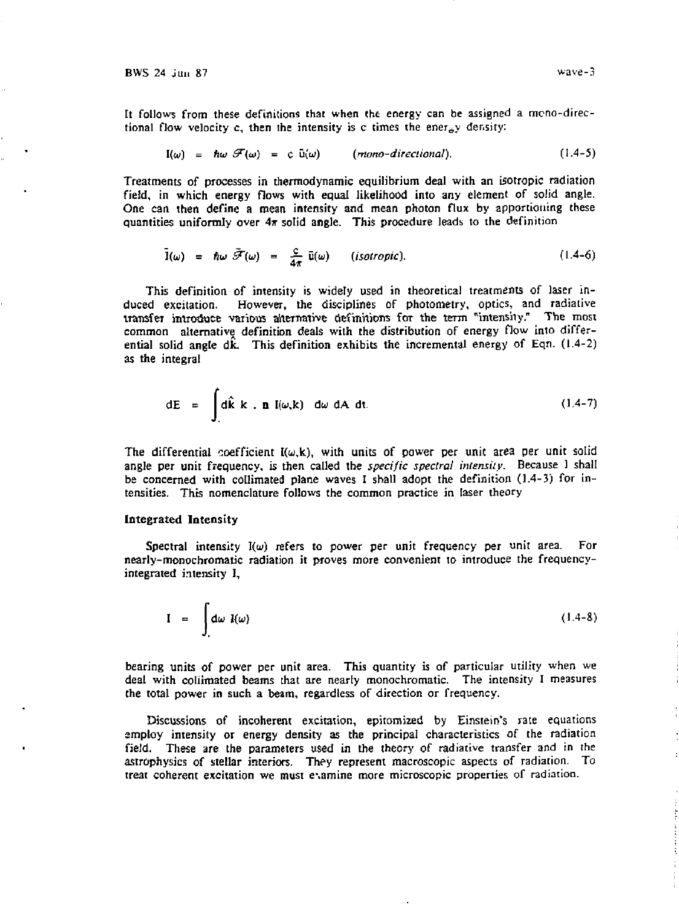It follows from these definitions that when tht energy can be assigned a mcno-directional flow velocity c, then the intensity is c times the energy density:

$$
I(\omega) = \hbar \omega \mathcal{F}(\omega) = c \bar{u}(\omega) \qquad (mono-directional).
$$
 (1.4-5)

Treatments of processes in thermodynamic equilibrium deal with an isotropic radiation field, in which energy flows with equal likelihood into any element of solid angle. One can then define a mean intensity and mean photon flux by apportioning these quantities uniformly over  $4\pi$  solid angle. This procedure leads to the definition

$$
\hat{I}(\omega) = \hbar \omega \, \tilde{\mathcal{F}}(\omega) = \frac{c}{4\pi} \, \bar{u}(\omega) \qquad \text{(isotropic)}.
$$
 (1.4-6)

This definition of intensity is widely used in theoretical treatments of laser induced excitation. However, the disciplines of photometry, optics, and radiative transfer introduce various alternative definitions for the term "intensity." The most common alternative definition deals with the distribution of energy flow into differential solid angle  $d\hat{k}$ . This definition exhibits the incremental energy of Eqn. (1.4-2) as the integral

$$
dE = \int_{A} d\hat{k} k . n I(\omega, k) d\omega dA dt.
$$
 (1.4-7)

The differential coefficient  $I(\omega, k)$ , with units of power per unit area per unit solid angle per unit frequency, is then called the *specific spectral intensity.* Because 1 shall be concerned with collimated plane waves I shall adopt the definition (1.4-J) for intensities. This nomenclature follows the common practice in laser theory

## Integrated Intensity

Spectral intensity  $I(\omega)$  refers to power per unit frequency per unit area. For nearly-monochromatic radiation it proves more convenient to introduce the frequencyintegrated intensity I,

$$
I = \int_{A} d\omega \, I(\omega) \tag{1.4-8}
$$

bearing units of power per unit area. This quantity is of particular utility when we deal with coliimated beams that are nearly monochromatic. The intensity I measures the total power in such a beam, regardless of direction or frequency.

Discussions of incoherent excitation, epitomized by Einstein's rate equations employ intensity or energy density as the principal characteristics of the radiation field. These are the parameters used in the theory of radiative transfer and in the astrophysics of stellar interiors. They represent macroscopic aspects of radiation. To treat coherent excitation we must e\amine more microscopic properties of radiation.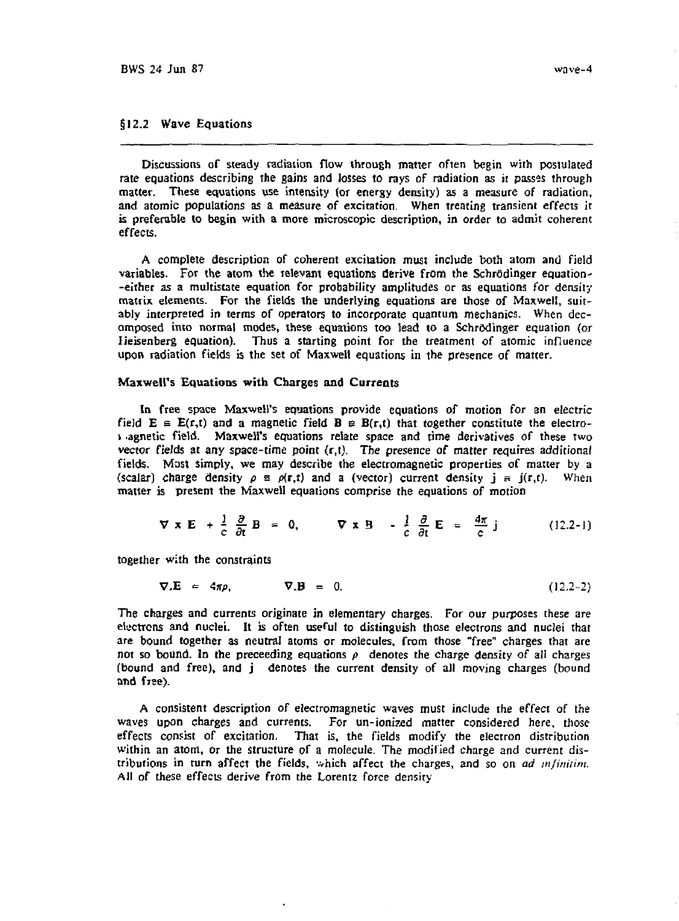## §12.2 Wave Equations

Discussions of steady radiation flow through matter often begin with postulated rate equations describing the gains and losses to rays of radiation as it passes through matter. These equations use intensity (or energy density) as a measure of radiation, and atomic populations as a measure of excitation. When treating transient effects it is preferable to begin with a more microscopic description, in order to admit coherent effects.

A complete description of coherent excitation must include both atom and field variables. For the atom the relevant equations derive from the Schredinger equation- -either as a multistate equation for probability amplitudes or as equations for density matrix elements. For the fields the underlying equations are those of Maxwell, suitably interpreted in terms of operators to incorporate quantum mechanics. When decomposed into normal modes, these equations too lead to a Schredinger equation (or lieisenberg equation). Thus a starting point for the treatment of atomic influence upon radiation fields is the set of Maxwell equations in the presence of matter.

## Maxwell's Equations with Charges and Currents

In free space Max-well's equations provide equations of motion for an electric field  $E \equiv E(r,t)$  and a magnetic field  $B \equiv B(r,t)$  that together constitute the electroi .agnetic field. Maxwell's equations relate space and time derivatives of these two vector fields at any space-time point  $(r,t)$ . The presence of matter requires additional fields. Most simply, we may describe the electromagnetic properties of matter by a (scalar) charge density  $\rho \equiv \rho(\mathbf{r},t)$  and a (vector) current density  $\mathbf{j} = \mathbf{j}(\mathbf{r},t)$ . When matter is present the Maxwell equations comprise the equations of motion

$$
\nabla \times \mathbf{E} + \frac{1}{c} \frac{\partial}{\partial t} \mathbf{B} = 0, \qquad \nabla \times \mathbf{B} - \frac{1}{c} \frac{\partial}{\partial t} \mathbf{E} = \frac{4\pi}{c} \mathbf{j} \qquad (12.2-1)
$$

**c** at  $\alpha$  at  $\alpha$  at  $\alpha$  at  $\alpha$  at  $\alpha$  at  $\alpha$  at  $\alpha$ 

$$
\nabla \cdot \mathbf{E} = 4\pi \rho, \qquad \nabla \cdot \mathbf{B} = 0. \qquad (12.2-2)
$$

V.E = *4np,* V.B = 0. (12.2-2) The charges and currents originate in elementary charges. For our purposes these are electrons and nuclei. It is often useful to distinguish those electrons and nuclei that are bound together as neutral atoms or molecules, from those "free" charges that are not so bound. In the preceeding equations  $\rho$  denotes the charge density of all charges (bound and free), and j denotes the current density of all moving charges (bound and free).

A consistent description of electromagnetic waves must include the effect of the waves upon charges and currents. For un-ionized matter considered here, those effects consist of excitation, That is, the fields modify the electron distribution within an atom, or the structure *of* a molecule. The modified charge and current distributions in turn affect the fields, which affect the charges, and so on *ad mfiniiim.*  All of these effects derive from the Lorentz force density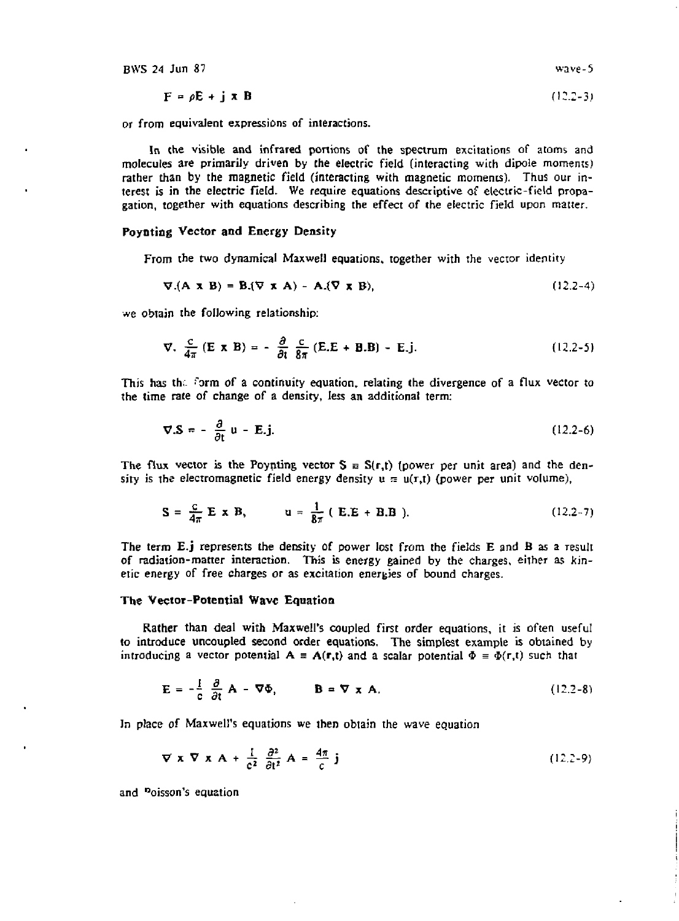$$
\mathbf{F} = \rho \mathbf{E} + \mathbf{j} \times \mathbf{B} \tag{12.2-3}
$$

or from equivalent expressions of interactions.

In the visible and infrared portions of the spectrum excitations of atoms and molecules are primarily driven by the electric field (interacting with dipole moments) rather than by the magnetic field (interacting with magnetic moments). Thus our interest is in the electric field. We require equations descriptive of electric-field propagation, together with equations describing the effect of the electric field upon matter.

## **Poynting Vector and** Energy Density

From the two dynamical Maxwell equations, together with the vector identity

$$
\nabla \cdot (\mathbf{A} \times \mathbf{B}) = \mathbf{B} \cdot (\nabla \times \mathbf{A}) - \mathbf{A} \cdot (\nabla \times \mathbf{B}), \tag{12.2-4}
$$

we obtain the following relationship:

$$
\nabla. \frac{c}{4\pi} \left( \mathbf{E} \times \mathbf{B} \right) = -\frac{\partial}{\partial t} \frac{c}{8\pi} \left( \mathbf{E} . \mathbf{E} + \mathbf{B} . \mathbf{B} \right) - \mathbf{E} . \mathbf{j}.
$$
 (12.2-5)

This has the form of a continuity equation, relating the divergence of a flux vector to the time rate of change of a density, less an additional term:

$$
\nabla \cdot \mathbf{S} = -\frac{\partial}{\partial t} \mathbf{u} - \mathbf{E} \cdot \mathbf{j}.
$$
 (12.2-6)

The flux vector is the Poynting vector  $S \equiv S(r,t)$  (power per unit area) and the density is the electromagnetic field energy density  $u \equiv u(r,t)$  (power per unit volume),

$$
S = \frac{C}{4\pi} E \times B, \qquad u = \frac{1}{8\pi} (E.E + B.B).
$$
 (12.2-7)

The term E.j represents the density of power lost from the fields E and B as a result of radiation-matter interaction. This is energy gained by the charges, either as kinetic energy of free charges or as excitation energies of bound charges.

## **The Vector-Potential** Wave Equation

Rather than deal with Maxwell's coupled first order equations, it is often useful to introduce uncoupled second order equations, The simplest example is obtained by introducing a vector potential  $A = A(r,t)$  and a scalar potential  $\Phi = \Phi(r,t)$  such that

$$
\mathbf{E} = -\frac{1}{c} \frac{\partial}{\partial t} \mathbf{A} - \nabla \Phi, \qquad \mathbf{B} = \nabla \times \mathbf{A}.
$$
 (12.2-8)

In place *of* Maxwell's equations we then obtain the wave equation

$$
\nabla \times \nabla \times \mathbf{A} + \frac{1}{c^2} \frac{\partial^2}{\partial t^2} \mathbf{A} = \frac{4\pi}{c} \mathbf{j}
$$
 (12.2-9)

and "oisson's equation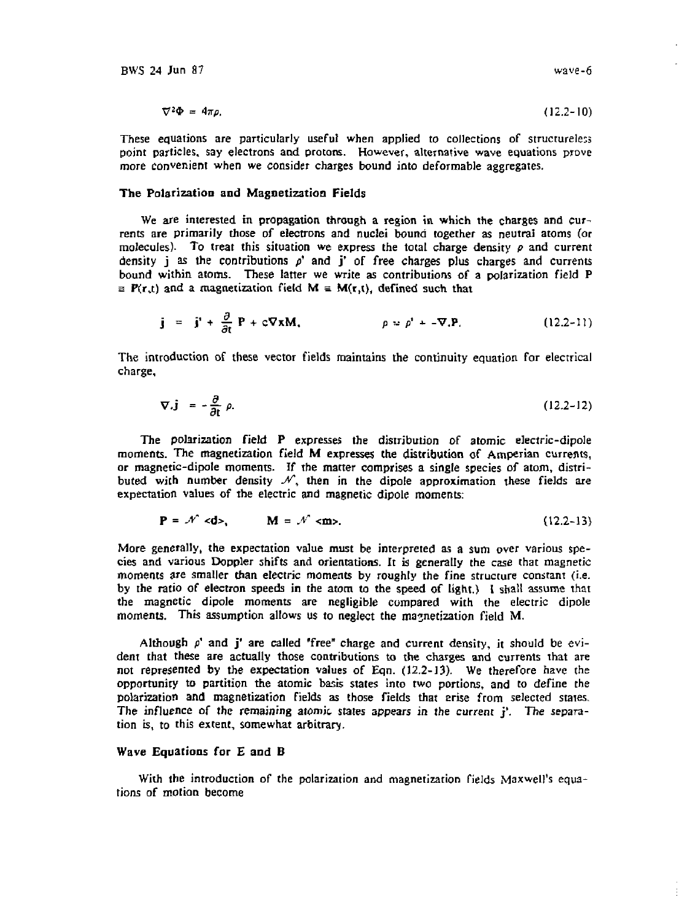$$
\nabla^2 \Phi = 4\pi \rho. \tag{12.2-10}
$$

These equations are particularly useful when applied to collections of structureless point particles, say electrons and protons. However, alternative wave equations prove more convenient when we consider charges bound into deformable aggregates.

## **The Polarization and Magnetization Fields**

We are interested in propagation through a region in which the charges and currents are primarily those of electrons and nuclei bound together as neutral atoms (or molecules). To treat this situation we express the total charge density  $\rho$  and current density *j* as the contributions  $\rho'$  and *j'* of free charges plus charges and currents bound within atoms. These latter we write as contributions of a polarization field P  $\equiv P(r,t)$  and a magnetization field  $M \equiv M(r,t)$ , defined such that

$$
\mathbf{j} = \mathbf{j}' + \frac{\partial}{\partial t} \mathbf{P} + c \nabla \mathbf{x} \mathbf{M}, \qquad \qquad \rho \approx \rho' + - \nabla \cdot \mathbf{P}. \qquad (12.2-11)
$$

The introduction of these vector fields maintains the continuity equation for electrical charge,

$$
\nabla \cdot \mathbf{j} = -\frac{\partial}{\partial t} \rho. \tag{12.2-12}
$$

The polarization field P expresses the distribution of atomic electric-dipole moments. The magnetization field M expresses the distribution of Amperian currents, or magnetic-dipole moments. If the matter comprises **a** single species of atom, distributed with number density  $\mathcal{N}$ , then in the dipole approximation these fields are expectation values of the electric and magnetic dipoie moments:

$$
\mathbf{P} = \mathcal{N} \ll \mathbf{d} >,\qquad \mathbf{M} = \mathcal{N} \ll \mathbf{m} >,\tag{12.2-13}
$$

More generally, the expectation value must be interpreted as a sum over various species and various Doppler shifts and orientations. It is generally the case that magnetic moments are smaller than electric moments by roughly the fine structure constant (i.e. by the ratio of electron speeds in the atom to the speed of light.) I shall assume that the magnetic dipoie moments are negligible compared with the electric dipoie moments. This assumption allows us to neglect the magnetization field M.

Although  $\rho'$  and  $j'$  are called "free" charge and current density, it should be evident that these are actually those contributions to the charges and currents that are not represented by the expectation values of Eqn. (12.2-13). We therefore have the opportunity to partition the atomic basis states into two portions, and to define the polarization and magnetization fields as those fields that arise from selected states. The influence of the remaining atomic states appears in the current j' . The separation is, to this extent, somewhat arbitrary.

## Wave **Equations for E and B**

With the introduction of the polarization and magnetization fields Maxwell's equations of motion become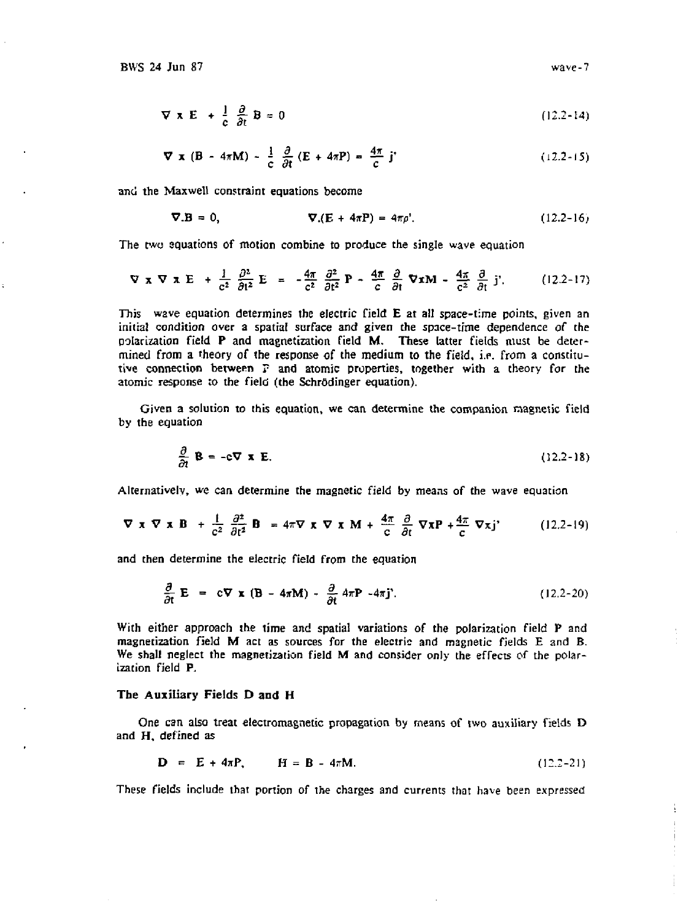$$
\nabla \times \mathbf{E} + \frac{1}{c} \frac{\partial}{\partial t} \mathbf{B} = 0 \tag{12.2-14}
$$

$$
\nabla \times (\mathbf{B} - 4\pi \mathbf{M}) - \frac{1}{c} \frac{\partial}{\partial t} (\mathbf{E} + 4\pi \mathbf{P}) = \frac{4\pi}{c} \mathbf{j'}
$$
 (12.2-15)

and the Maxwell constraint equations become

$$
\nabla \cdot \mathbf{B} = 0, \qquad \qquad \nabla \cdot (\mathbf{E} + 4\pi \mathbf{P}) = 4\pi \rho'. \qquad (12.2-16)
$$

The two equations of motion combine to produce the single wave equation

$$
\nabla \times \nabla \times E + \frac{1}{c^2} \frac{\partial^2}{\partial t^2} E = -\frac{4\pi}{c^2} \frac{\partial^2}{\partial t^2} P - \frac{4\pi}{c} \frac{\partial}{\partial t} \nabla x M - \frac{4\pi}{c^2} \frac{\partial}{\partial t} j'.
$$
 (12.2-17)

This wave equation determines the electric field E at all space-time points, given an initial condition over a spatial surface and given the space-time dependence of the polarization field P and magnetization field M. These latter fields must be determined from a theory of the response of the medium to the field, i.e. from a constitutive connection between ? and atomic properties, together with a theory for the atomic response to the field (the Schrddinger equation).

Given a solution to this equation, we can determine the companion magnetic field by the equation

$$
\frac{\partial}{\partial t} \mathbf{B} = -c \nabla \times \mathbf{E}.
$$
 (12.2-18)

Alternatively, we can determine the magnetic field by means of the wave equation

$$
\nabla \times \nabla \times \mathbf{B} + \frac{1}{c^2} \frac{\partial^2}{\partial t^2} \mathbf{B} = 4\pi \nabla \times \nabla \times \mathbf{M} + \frac{4\pi}{c} \frac{\partial}{\partial t} \nabla \times \mathbf{P} + \frac{4\pi}{c} \nabla \times \mathbf{j'}
$$
 (12.2-19)

and then determine the electric field from the equation

$$
\frac{\partial}{\partial t} \mathbf{E} = c \nabla \times (\mathbf{B} - 4\pi \mathbf{M}) - \frac{\partial}{\partial t} 4\pi \mathbf{P} - 4\pi \mathbf{j}.
$$
 (12.2-20)

With either approach the time and spatial variations of the polarization field P and magnetization field M act as sources for the electric and magnetic fields E and B. We shall neglect the magnetization field M and consider only the effects of the polarization field P.

### The Auxiliary Fields D and H

One can also treat electromagnetic propagation by means of two auxiliary fields D and H, defined as

$$
D = E + 4\pi P, \qquad H = B - 4\pi M. \tag{12.2-21}
$$

These fields include that portion of the charges and currents that have been expressed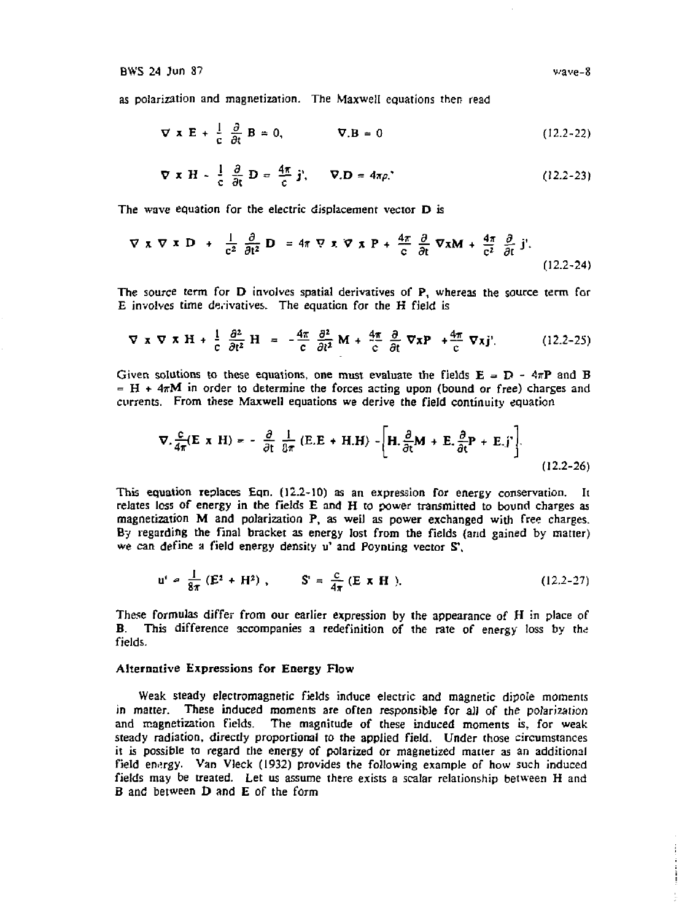as polarization and magnetization. The Maxwell equations then read

$$
\nabla \times \mathbf{E} + \frac{1}{c} \frac{\partial}{\partial t} \mathbf{B} = 0, \qquad \nabla \cdot \mathbf{B} = 0 \tag{12.2-22}
$$

$$
\nabla \times \mathbf{H} - \frac{1}{c} \frac{\partial}{\partial t} \mathbf{D} = \frac{4\pi}{c} \mathbf{j}, \qquad \nabla \cdot \mathbf{D} = 4\pi \rho. \tag{12.2-23}
$$

The wave equation for the electric displacement vector D is

$$
\nabla \times \nabla \times \mathbf{D} + \frac{1}{c^2} \frac{\partial}{\partial t^2} \mathbf{D} = 4\pi \nabla \times \nabla \times \mathbf{P} + \frac{4\pi}{c} \frac{\partial}{\partial t} \nabla \times \mathbf{M} + \frac{4\pi}{c^2} \frac{\partial}{\partial t} \mathbf{j}. \tag{12.2-24}
$$

The source term for D involves spatial derivatives of P, whereas the source term for E involves time derivatives. The equation for the H field is

$$
\nabla \times \nabla \times \mathbf{H} + \frac{1}{c} \frac{\partial^2}{\partial t^2} \mathbf{H} = -\frac{4\pi}{c} \frac{\partial^2}{\partial t^2} \mathbf{M} + \frac{4\pi}{c} \frac{\partial}{\partial t} \nabla \times \mathbf{P} + \frac{4\pi}{c} \nabla \times \mathbf{j}. \tag{12.2-25}
$$

Given solutions to these equations, one must evaluate the fields  $E = D - 4\pi P$  and B  $=$  H + 4 $\pi$ M in order to determine the forces acting upon (bound or free) charges and currents. From these Maxwell equations we derive the field continuity equation

$$
\nabla \cdot \frac{c}{4\pi} (\mathbf{E} \times \mathbf{H}) = -\frac{\partial}{\partial t} \frac{1}{8\pi} (\mathbf{E} \cdot \mathbf{E} + \mathbf{H} \cdot \mathbf{H}) - \left[ \mathbf{H} \cdot \frac{\partial}{\partial t} \mathbf{M} + \mathbf{E} \cdot \frac{\partial}{\partial t} \mathbf{P} + \mathbf{E} \cdot \mathbf{j'} \right].
$$
 (12.2-26)

This equation replaces Eqn. (12.2-10) as an expression for energy conservation. It relates loss of energy in the fields E and H to power transmitted to bound charges as magnetization M and polarization P, as well as power exchanged with free charges. By regarding the final bracket as energy lost from the fields (and gained by matter) we can define a field energy density u' and Poynting vector  $S^{\dagger}$ 

$$
u' = \frac{1}{8\pi} (E^2 + H^2), \qquad S' = \frac{c}{4\pi} (E \times H).
$$
 (12.2-27)

These formulas differ from our earlier expression by the appearance of H in place of B. This difference accompanies a redefinition of the rate of energy loss by the fields.

## Alternative Expressions for Energy Flow

Weak steady electromagnetic fields induce electric and magnetic dipole moments in matter. These induced moments are often responsible for aJi of the polarization and magnetization fields. The magnitude of these induced moments is, for weak steady radiation, directly proportional to the applied field. Under those circumstances it is possible to regard the energy of polarized or magnetized matter as an additional field energy. Van Vleck (1932) provides the following example of how such induced fields may be treated. Let us assume there exists a scalar relationship between H and B and between D and E of the form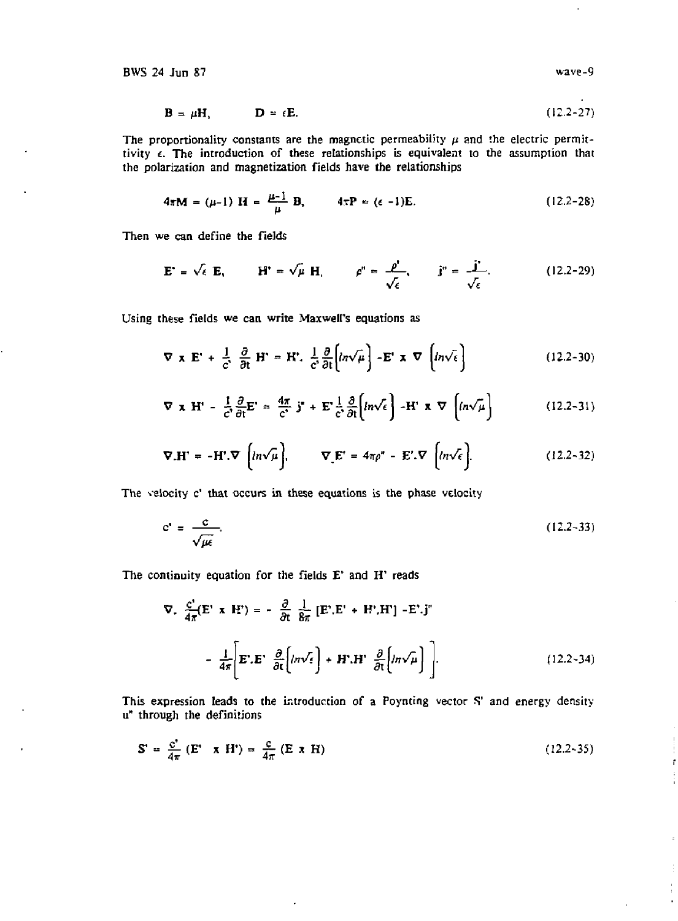$$
\mathbf{B} = \mu \mathbf{H}, \qquad \qquad \mathbf{D} = \epsilon \mathbf{E}. \tag{12.2-27}
$$

The proportionality constants are the magnetic permeability  $\mu$  and the electric permittivity  $\epsilon$ . The introduction of these relationships is equivalent to the assumption that the polarization and magnetization fields have the relationships

$$
4\pi M = (\mu - 1) H = \frac{\mu - 1}{\mu} B, \qquad 4\pi P = (\epsilon - 1)E.
$$
 (12.2-28)

Then we can define the fields

$$
\mathbf{E}^* = \sqrt{\epsilon} \mathbf{E}, \qquad \mathbf{H}^* = \sqrt{\mu} \mathbf{H}, \qquad \rho^* = \frac{\rho^*}{\sqrt{\epsilon}}, \qquad \mathbf{j}^* = \frac{\mathbf{j}^*}{\sqrt{\epsilon}}.
$$
 (12.2-29)

Using these fields we can write Maxwell's equations as

$$
\nabla \times \mathbf{E}' + \frac{1}{c'} \frac{\partial}{\partial t} \mathbf{H}' = \mathbf{H}' \cdot \frac{1}{c'} \frac{\partial}{\partial t} \Big[ ln \sqrt{\mu} \Big] - \mathbf{E}' \times \nabla \Big[ ln \sqrt{\epsilon} \Big]
$$
(12.2-30)

$$
\nabla \times \mathbf{H}' - \frac{1}{c'} \frac{\partial}{\partial t} \mathbf{E}' = \frac{4\pi}{c'} \mathbf{j}^* + \mathbf{E}' \frac{1}{c'} \frac{\partial}{\partial t} \Big[ ln \sqrt{\epsilon} \Big] - \mathbf{H}' \times \nabla \Big[ ln \sqrt{\mu} \Big] \tag{12.2-31}
$$

$$
\nabla \cdot \mathbf{H}^* = -\mathbf{H}^* \cdot \nabla \left( ln \sqrt{\mu} \right), \qquad \nabla \cdot \mathbf{E}^* = 4\pi \rho^* - \mathbf{E}^* \cdot \nabla \left[ ln \sqrt{\epsilon} \right]. \tag{12.2-32}
$$

The velocity c' that occurs in these equations is the phase velocity

$$
c' = \frac{c}{\sqrt{\mu \epsilon}}.\tag{12.2-33}
$$

The continuity equation for the fields E' and H' reads

 $\ddot{\phantom{0}}$ 

$$
\nabla. \frac{c'}{4\pi} (E' \times H') = -\frac{\partial}{\partial t} \frac{1}{8\pi} [E'.E' + H'.H'] - E'.j''
$$

$$
-\frac{1}{4\pi} \left[ E'.E' \frac{\partial}{\partial t} \left\{ in\sqrt{\epsilon} \right\} + H'.H' \frac{\partial}{\partial t} \left\{ in\sqrt{\mu} \right\} \right].
$$
(12.2-34)

This expression leads to the introduction of a Poynting vector S' and energy density u" through the definitions

$$
\mathbf{S}' = \frac{\mathbf{C}^*}{4\pi} \left( \mathbf{E}^* \times \mathbf{H}^* \right) = \frac{\mathbf{C}}{4\pi} \left( \mathbf{E} \times \mathbf{H} \right) \tag{12.2-35}
$$

 $\overline{\phantom{a}}$ 

ř

 $\overline{\phantom{a}}$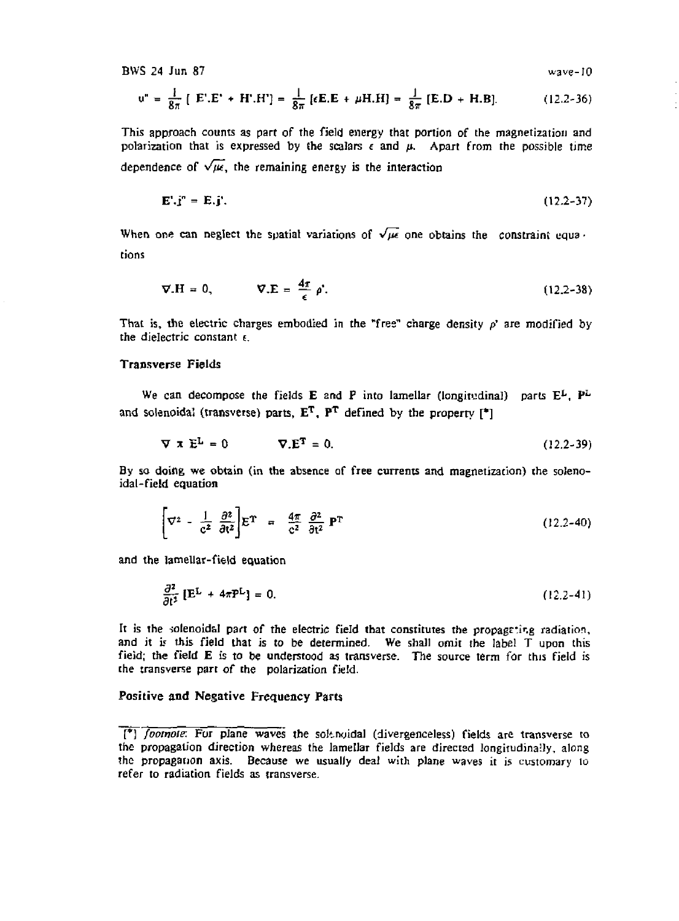BWS 24 Jun 87

$$
wave-10
$$

$$
u'' = \frac{1}{8\pi} [E'.E' + H'.H'] = \frac{1}{8\pi} [E.E + \mu H.H] = \frac{1}{8\pi} [E.D + H.B]. \qquad (12.2-36)
$$

This approach counts as part of the field energy that portion of the magnetization and polarization that is expressed by the scalars  $\epsilon$  and  $\mu$ . Apart from the possible time dependence of  $\sqrt{\mu}$ , the remaining energy is the interaction

$$
\mathbf{E}^{\prime} \cdot \mathbf{j}^{\prime\prime} = \mathbf{E} \cdot \mathbf{j}^{\prime}. \tag{12.2-37}
$$

When one can neglect the spatial variations of  $\sqrt{\mu}$  one obtains the constraint equations

$$
\nabla \cdot \mathbf{H} = 0, \qquad \nabla \cdot \mathbf{E} = \frac{4\pi}{\epsilon} \rho^*.
$$
 (12.2-38)

That is, the electric charges embodied in the "free" charge density p' are modified by the dielectric constant *t.* 

# Transverse Fields

We can decompose the fields **E** and **P** into lamellar (longitudinal) parts  $E^L$ ,  $P^L$ and solenoidal (transverse) parts,  $E<sup>T</sup>$ ,  $P<sup>T</sup>$  defined by the property  $[{}^*]$ 

$$
\nabla \times \mathbf{E}^{\mathbf{L}} = 0 \qquad \nabla \cdot \mathbf{E}^{\mathbf{T}} = 0. \tag{12.2-39}
$$

By so doing we obtain (in the absence of free currents and magnetization) the solenoidal-field equation

$$
\left[\nabla^2 - \frac{1}{c^2} \frac{\partial^2}{\partial t^2}\right] E^{\mathrm{T}} = \frac{4\pi}{c^2} \frac{\partial^2}{\partial t^2} \mathbf{P}^{\mathrm{T}} \tag{12.2-40}
$$

and the lamellar-field equation

$$
\frac{\partial^2}{\partial t^2} \left[ E^L + 4\pi P^L \right] = 0. \tag{12.2-41}
$$

It is the solenoidal part of the electric field that constitutes the propagating radiation, and it *is* this field that is to be determined. We shall omit the label T upon this fieid; the field E is to be understood as transverse. The source term for this field is the transverse part of the polarization field.

# Positive and Negative Frequency Parts

<sup>[\*]</sup> *footnote:* For plane waves the soltnuidal (divergenceless) fields are transverse to the propagation direction whereas the lamellar fields are directed longitudinaily, along the propagation axis. Because we usually deal with plane waves it is customary 10 refer to radiation fields as transverse.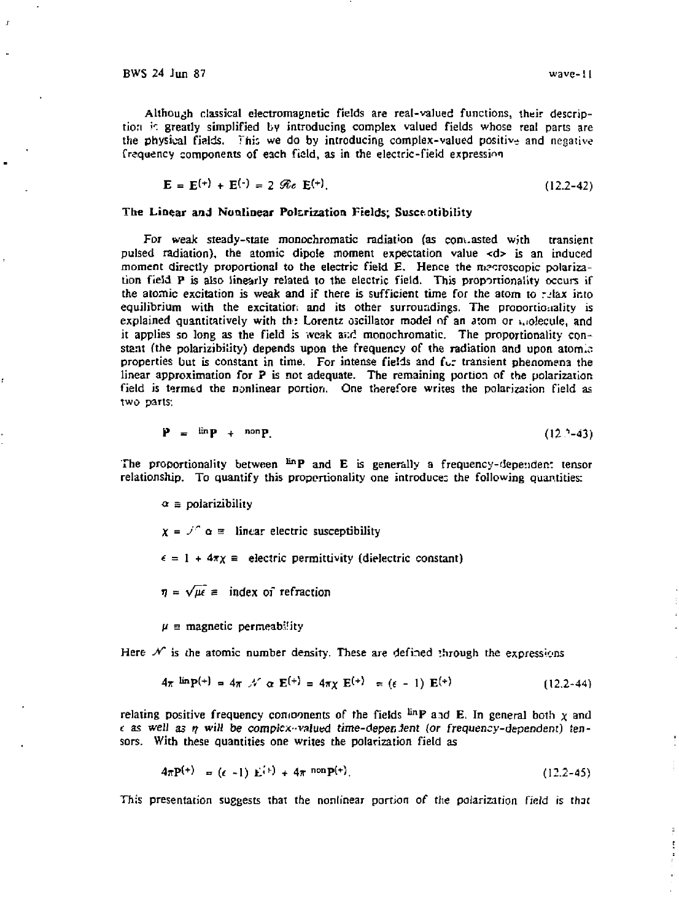ţ

Although classical electromagnetic fields are real-valued functions, their description *r.* greatly simplified bv introducing complex valued fields whose real parts are the physical fields. This we do by introducing complex-valued positive and negative frequency components of each field, as in the electric-field expression

 $E = E^{(+)} + E^{(-)} = 2 \, \mathscr{R}_e \, E^{(+)}$ . (12.2-42)

## The Linear and Nonlinear Polarization Fields; Susce otibility

For weak steady-state monochromatic radiation (as com.asted with transient pulsed radiation), the atomic dipole moment expectation value <d> is an induced moment directly proportional to the electric field E. Hence the mecroscopic polarization field P is also linearly related to the electric field. This proportionality occurs if the atomic excitation is weak and if there is sufficient time for the atom to relax into equilibrium with the excitation and its other surroundings. The proportionality is explained quantitatively with the Lorentz oscillator model of an atom or  $\mu_0$  decule, and it applies so long as the field is weak ai:d monochromatic. The proportionality constant (the polarizibility) depends upon the frequency of the radiation and upon atom. $\ddot{\circ}$ properties but is constant in time. For intense fields and fur transient phenomena the linear approximation for P is not adequate. The remaining portion of the polarization field is termed the nonlinear portion. One therefore writes the polarization field as two parts:

$$
\mathbf{P} = \lim_{n \to \infty} \mathbf{P} + \text{non.} \tag{12.2-43}
$$

The proportionality between  $\lim_{n \to \infty} P$  and E is generally a frequency-dependent tensor relationship. To quantify this proportionality one introduces the following quantities:

 $\alpha$  = polarizibility

 $x = f^2 \alpha =$  linear electric susceptibility  $\epsilon = 1 + 4\pi\chi =$  electric permittivity (dielectric constant)

 $\eta = \sqrt{\mu \epsilon}$  = index of refraction

 $\mu$   $\equiv$  magnetic permeability

Here  $\mathcal{N}$  is the atomic number density. These are defined through the expressions

$$
4\pi \lim_{h \to 0} P^{(+)} = 4\pi \mathcal{N} \alpha \mathbf{E}^{(+)} = 4\pi \mathcal{X} \mathbf{E}^{(+)} = (\epsilon - 1) \mathbf{E}^{(+)} \qquad (12.2-44)
$$

relating positive frequency components of the fields <sup>lin</sup>P and E. In general both  $\chi$  and *t* as well as *ft wilt be compicx-*valued time-depenJent *(or* frequency-dependent) tensors. With these quantities one writes the polarization field as

$$
4\pi P^{(+)} = (e-1) E^{(+)} + 4\pi \text{ non } P^{(+)}.
$$
 (12.2-45)

This presentation suggests that the nonlinear portion of the polarization field is that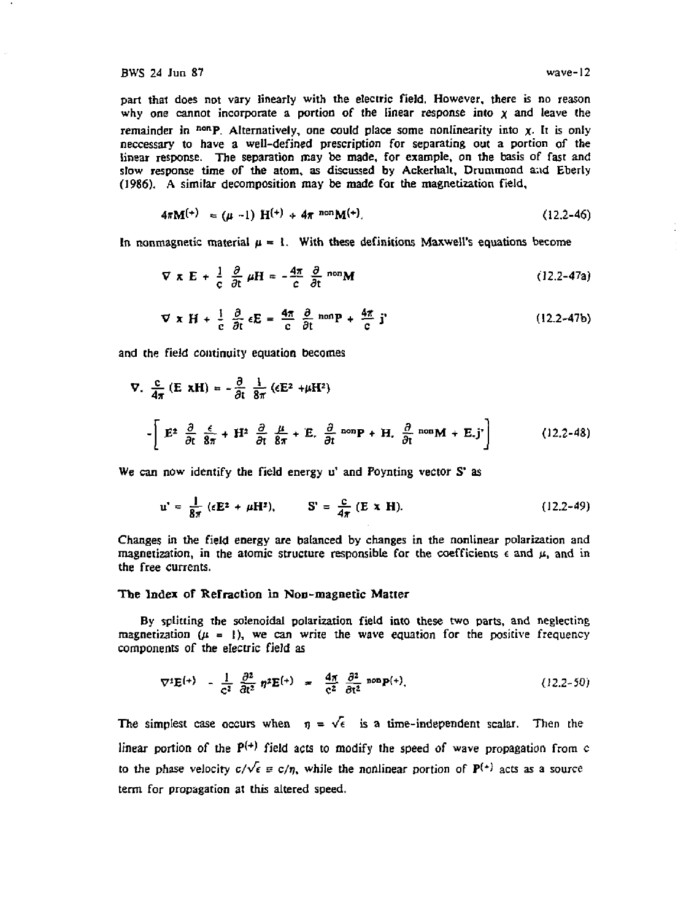part thai does not vary linearly with the electric field, However, there is no reason why one cannot incorporate a portion of the linear response into x and leave the remainder in <sup>non</sup>P. Alternatively, one could place some nonlinearity into x. It is only neccessary to have a well-defined prescription for separating out a portion of the linear response. The separation may be made, for example, on the basis of fast and slow response time of the atom, as discussed by Ackerhalt, Drummond and Eberly (1986). A similar decomposition may be made for the magnetization field,

$$
4\pi M^{(+)} = (\mu - 1) H^{(+)} + 4\pi \text{ non } M^{(+)}.
$$
 (12.2-46)

In nonmagnetic material  $\mu = 1$ . With these definitions Maxwell's equations become

$$
\nabla \times \mathbf{E} + \frac{1}{c} \frac{\partial}{\partial t} \mu \mathbf{H} = -\frac{4\pi}{c} \frac{\partial}{\partial t} \text{ non } \mathbf{M}
$$
 (12.2-47a)

$$
\nabla \times \mathbf{H} + \frac{1}{c} \frac{\partial}{\partial t} \epsilon \mathbf{E} = \frac{4\pi}{c} \frac{\partial}{\partial t} \text{ nonp} + \frac{4\pi}{c} \mathbf{j}
$$
 (12.2-47b)

and the field continuity equation becomes

$$
\nabla. \frac{c}{4\pi} (E xH) = -\frac{\partial}{\partial t} \frac{1}{8\pi} (E^2 + \mu H^2)
$$
  

$$
-\left[E^2 \frac{\partial}{\partial t} \frac{\xi}{8\pi} + H^2 \frac{\partial}{\partial t} \frac{\mu}{8\pi} + E \frac{\partial}{\partial t} \text{ non } P + H \frac{\partial}{\partial t} \text{ non } M + E \text{.}j'\right]
$$
(12.2-48)

We can now identify the field energy u' and Poynting vector S' as

$$
u^* = \frac{1}{8\pi} \left( \epsilon \mathbf{E}^2 + \mu \mathbf{H}^2 \right), \qquad \mathbf{S}^* = \frac{c}{4\pi} \left( \mathbf{E} \times \mathbf{H} \right).
$$
 (12.2-49)

Changes in the field energy are balanced by changes in the nonlinear polarization and magnetization, in the atomic structure responsible for the coefficients  $\epsilon$  and  $\mu$ , and in the free currents.

#### The Index of Refraction in Non-magnetic Matter

By splitting the solenoidal polarization field into these two parts, and neglecting magnetization  $(\mu = 1)$ , we can write the wave equation for the positive frequency components of the electric field as

$$
\nabla^2 \mathbf{E}^{(+)} = \frac{1}{c^2} \frac{\partial^2}{\partial t^2} \eta^2 \mathbf{E}^{(+)} = \frac{4\pi}{c^2} \frac{\partial^2}{\partial t^2} \text{ non } \mathbf{P}^{(+)}.
$$
 (12.2-50)

The simplest case occurs when  $\eta = \sqrt{\epsilon}$  is a time-independent scalar. Then the linear portion of the  $P^{(+)}$  field acts to modify the speed of wave propagation from c to the phase velocity  $c/\sqrt{\epsilon} \equiv c/n$ , while the nonlinear portion of  $P^{(+)}$  acts as a source term for propagation at this altered speed.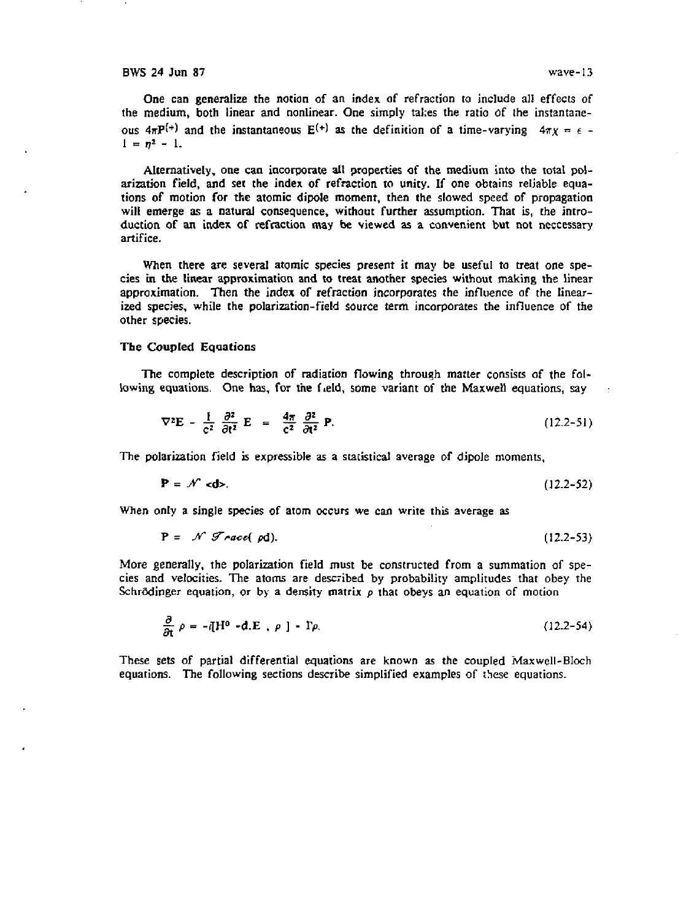One can generalize the notion of an index of refraction to include al! effects of the medium, both linear and nonlinear. One simply tal:es the ratio of the instantaneous  $4\pi P^{(+)}$  and the instantaneous  $E^{(+)}$  as the definition of a time-varying  $4\pi \chi = \epsilon$  $1 = n^2 - 1$ .

Alternatively, one can incorporate all properties of the medium into the total polarization field, and set the index of refraction to unity. If one obtains reliable equations of motion for the atomic dipole moment, then the slowed speed of propagation will emerge as a natural consequence, without further assumption. That is, the introduction of an index of refraction may be viewed as a convenient but not neccessary artifice.

When there are several atomic species present it may be useful to treat one species in the linear approximation and to treat another species without making the linear approximation. Then the index of refraction incorporates the influence of the linearized species, while the polarization-field source term incorporates the influence of the other species.

## The Coupled Equations

The complete description of radiation flowing through matter consists of the following equations. One has, for the field, some variant of the Maxwell equations, say

$$
\nabla^2 \mathbf{E} - \frac{1}{c^2} \frac{\partial^2}{\partial t^2} \mathbf{E} = \frac{4\pi}{c^2} \frac{\partial^2}{\partial t^2} \mathbf{P}.
$$
 (12.2-51)

The polarization field is expressible as a statistical average of dipole moments,

$$
\mathbf{P} = \mathcal{N} \cdot \mathbf{d} \mathbf{b}.\tag{12.2-52}
$$

When only a single species of atom occurs we can write this average as

More generally, the polarization field must be constructed from a summation of species and velocities. The atoms are described by probability amplitudes that obey the Schrödinger equation, or by a density matrix  $\rho$  that obeys an equation of motion

$$
\frac{\partial}{\partial t} \rho = -\bar{q}H^0 - d.E \ , \ \rho \ ] - \Gamma \rho. \tag{12.2-54}
$$

These sets of partial differential equations are known as the coupled Maxwell-BIoch equations. The following sections describe simplified examples of these equations.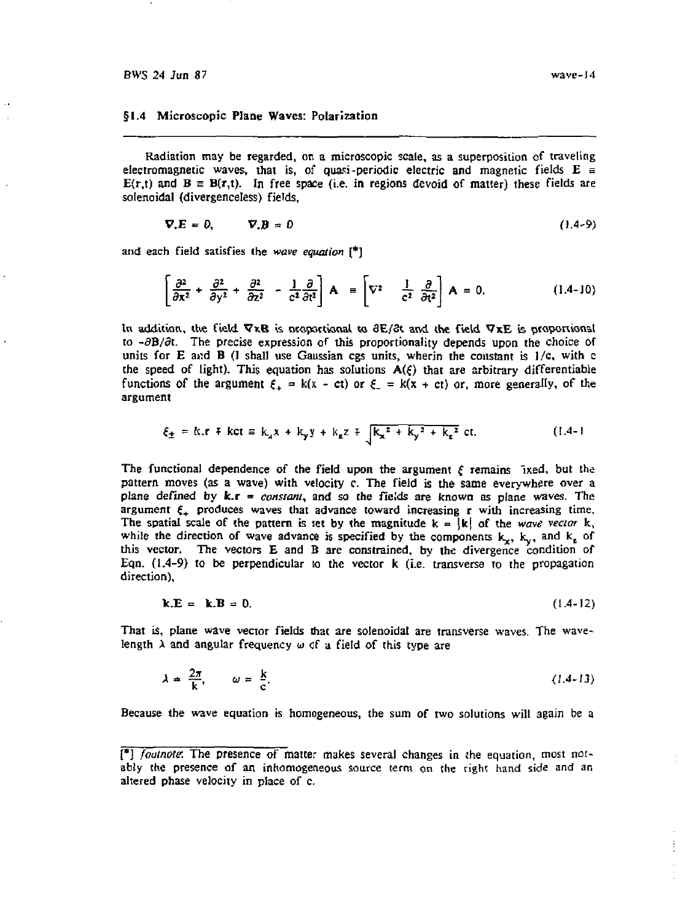#### §1.4 Microscopic Plane Waves: Polarization

Radiation may be regarded, on a microscopic scale, as a superposition of traveling electromagnetic waves, that is, of quasi-periodic electric and magnetic fields  $E =$  $E(r,t)$  and  $B = B(r,t)$ . In free space (i.e. in regions devoid of matter) these fields are solenoidal (divergenceless) fields,

$$
\nabla \cdot \mathbf{E} = 0, \qquad \nabla \cdot \mathbf{B} = 0 \tag{1.4-9}
$$

and each field satisfies the *wave equation* [\*]

$$
\left[\frac{\partial^2}{\partial x^2} + \frac{\partial^2}{\partial y^2} + \frac{\partial^2}{\partial z^2} - \frac{1}{c^2} \frac{\partial}{\partial t^2}\right] \mathbf{A} \equiv \left[\nabla^2 \quad \frac{1}{c^2} \frac{\partial}{\partial t^2}\right] \mathbf{A} = 0. \tag{1.4-10}
$$

In addition, the field  $\nabla \times \mathbf{B}$  is proportional to  $\partial \mathbf{E}/\partial t$  and the field  $\nabla \times \mathbf{E}$  is proportional to  $-\partial B/\partial t$ . The precise expression of this proportionality depends upon the choice of units for E and B (I shall use Gaussian cgs units, wherin the constant is  $1/c$ , with c the speed of light). This equation has solutions  $A(\xi)$  that are arbitrary differentiable functions of the argument  $\xi_+ = k(x - ct)$  or  $\xi_- = k(x + ct)$  or, more generally, of the argument

$$
\xi_{\pm} = k \cdot r + kct \equiv k_x x + k_y y + k_z z + \sqrt{k_x^2 + k_y^2 + k_z^2} ct. \tag{1.4-1}
$$

The functional dependence of the field upon the argument  $\xi$  remains ixed, but the pattern moves (as a wave) with velocity c. The field is the same everywhere over a plane defined by k.r = *constant,* and so the fields are known as plane waves. The argument  $\xi_{+}$  produces waves that advance toward increasing r with increasing time. The spatial scale of the pattern is set by the magnitude  $k = \int k \, dt$  of the *wave vector* k, while the direction of wave advance is specified by the components  $k_x$ ,  $k_y$ , and  $k_z$  of this vector. The vectors E and B are constrained, by the divergence condition of Eqn.  $(1.4-9)$  to be perpendicular to the vector k (i.e. transverse to the propagation direction).

$$
\mathbf{k}.\mathbf{E} = \mathbf{k}.\mathbf{B} = 0. \tag{1.4-12}
$$

That is, plane wave vector fields that are solenoidat are transverse waves. The wavelength *X* and angular frequency wof a field of this type are

$$
\lambda = \frac{2\pi}{k}, \qquad \omega = \frac{k}{c}.
$$
 (1.4-13)

Because the wave equation is homogeneous, the sum of two solutions will again be a

<sup>[\*]</sup> *footnote.* The presence of matter makes several changes in the equation, most notably the presence of an inhomogeneous source term on the right hand side and an altered phase velocity in place of c.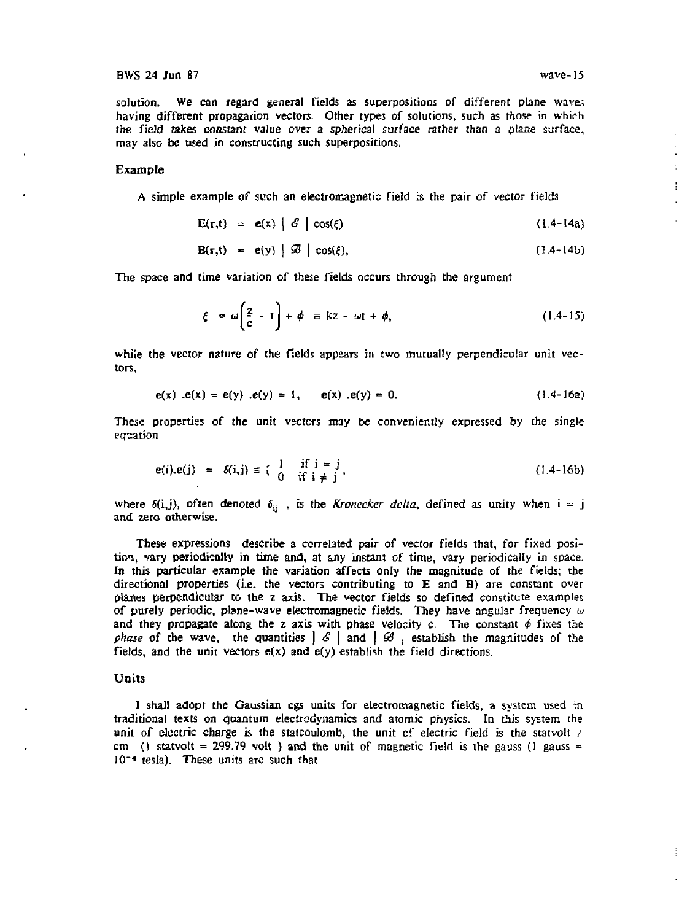solution. We can regard general fields as superpositions of different plane waves having different propagation vectors. Other types of solutions, such as those in which the field takes constant value over a spherical surface rather than a plane surface, may also be used in constructing such superpositions.

#### Example

A simple example of such an electromagnetic field is the pair of vector fields

$$
\mathbf{E}(\mathbf{r},t) = \mathbf{e}(\mathbf{x}) \mid \mathcal{E} \mid \cos(\xi) \tag{1.4-14a}
$$

$$
\mathbf{B}(\mathbf{r},t) = \mathbf{e}(y) \mid \mathcal{B} \mid \cos(\xi), \tag{1.4-14b}
$$

The space and time variation of these fields occurs through the argument

$$
\xi = \omega \left( \frac{2}{c} - t \right) + \phi = kz - \omega t + \phi, \qquad (1.4-15)
$$

while the vector nature of the fields appears in two mutually perpendicular unit vectors,

$$
e(x) . e(x) = e(y) . e(y) = 1, \qquad e(x) . e(y) = 0.
$$
 (1.4-16a)

These properties of the unit vectors may be conveniently expressed by the single equation

$$
e(i).e(j) = \delta(i,j) \equiv \begin{cases} 1 & \text{if } i = j \\ 0 & \text{if } i \neq j \end{cases}
$$
 (1.4-16b)

where  $\delta(i,j)$ , often denoted  $\delta_{ij}$ , is the *Kronecker delta*, defined as unity when i = j and zero otherwise.

These expressions describe a correlated pair of vector fields that, for fixed position, vary periodically in time and, at any instant of time, vary periodically in space. In this particular example the variation affects only the magnitude of the fields; the directional properties (i.e. the vectors contributing to E and B) are constant over planes perpendicular to the z axis. The vector fields so defined constitute examples of purely periodic, plane-wave electromagnetic fields. They have angular frequency  $\omega$ and they propagate along the z axis with phase velocity c. The constant  $\phi$  fixes the *phase* of the wave, the quantities  $|S|$  and  $|S|$  establish the magnitudes of the fields, and the unit vectors  $e(x)$  and  $e(y)$  establish the field directions.

## Units

I shall adopt the Gaussian cgs units for electromagnetic fields, a system used in traditional texts on quantum electrodynamics and atomic physics. In this system the unit of electric charge is the statcoulomb, the unit of electric field is the statvolt / cm (1 statvolt = 299.79 volt ) and the unit of magnetic field is the gauss (1 gauss = J0~\* tesla). These units are such that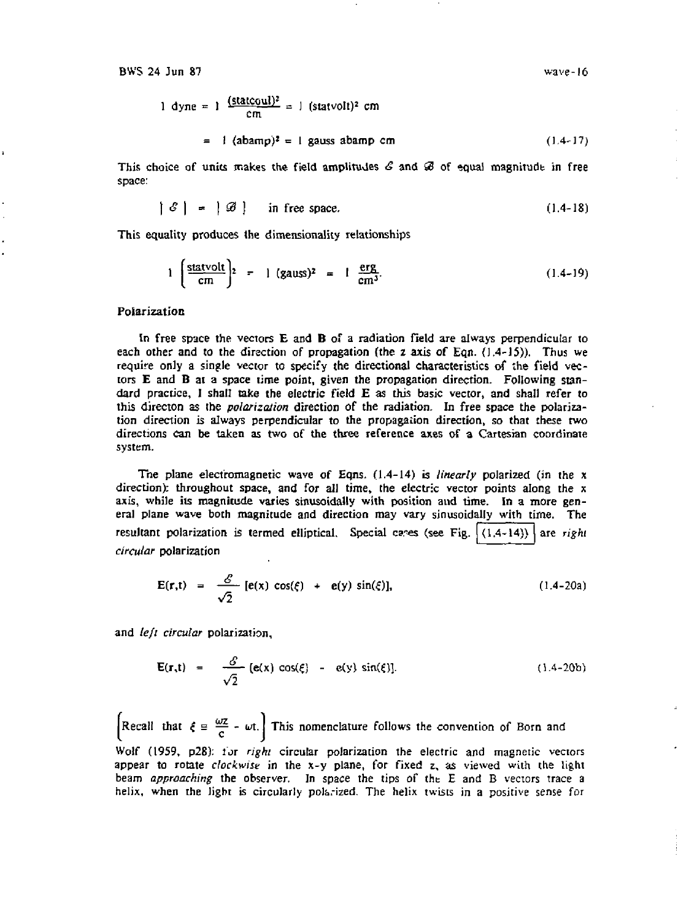1 dyne = 1 
$$
\frac{\text{(stackoul)^2}}{\text{cm}}
$$
 = 1 (statvolt)<sup>2</sup> cm  
= 1 (abamp)<sup>2</sup> = 1 gauss abamp cm (1.4-17)

This choice of units makes the field amplitudes  $\mathcal E$  and  $\mathcal B$  of equal magnitude in free space:

$$
|\mathcal{E}| = |\mathcal{B}| \quad \text{in free space.} \tag{1.4-18}
$$

This equality produces the dimensionality relationships

$$
1\left(\frac{\text{statvolt}}{\text{cm}}\right)^2 = 1\text{ (gauss)}^2 = 1\frac{\text{erg}}{\text{cm}^3}.\tag{1.4-19}
$$

#### Polarization

In free space the vectors E and B of a radiation field are always perpendicular to each other and to the direction of propagation (the z axis of Eqn.  $(1.4-15)$ ). Thus we require only a single vector to specify the directional characteristics of the field vectors E and B at a space time point, given the propagation direction. Following standard practice, I shall take the electric field E as this basic vector, and shall refer to this director) as the *polarization* direction of the radiation. In free space the polarization direction is always perpendicular to the propagation direction, so that these two directions can be taken as two of the three reference axes of a Cartesian coordinate system.

The plane electromagnetic wave of Eqns. (1.4-14) is *linearly* polarized (in the x direction): throughout space, and for all time, the electric vector points along the x axis, while its magnitude varies sinusoidally with position and time. In a more general plane wave both magnitude and direction may vary sinusoidally with time. The resultant polarization is termed elliptical. Special cases (see Fig.  $(1,4-14)$ ) are right *circular* polarization

$$
\mathbf{E}(\mathbf{r},t) = \frac{\mathcal{E}}{\sqrt{2}} [\mathbf{e}(\mathbf{x}) \cos(\xi) + \mathbf{e}(\mathbf{y}) \sin(\xi)], \qquad (1.4-20a)
$$

and *left circular* polarization.

$$
\mathbf{E}(\mathbf{r},t) = \frac{\mathcal{E}}{\sqrt{2}} [\mathbf{e}(x) \cos(\xi) - \mathbf{e}(y) \sin(\xi)]. \tag{1.4-20b}
$$

Recall that  $f = \frac{\omega z}{c}$  -  $\omega t$ . This nomenclature follows the convention of Born and Wolf (1959, p28): lor *right* circular polarization the electric and magnetic vectors appear to rotate *clockwise* in the x-y plane, for fixed z, as viewed with the light beam *approaching* the observer. In space the tips of the E and B vectors trace a helix, when the light is circularly polarized. The helix twists in a positive sense for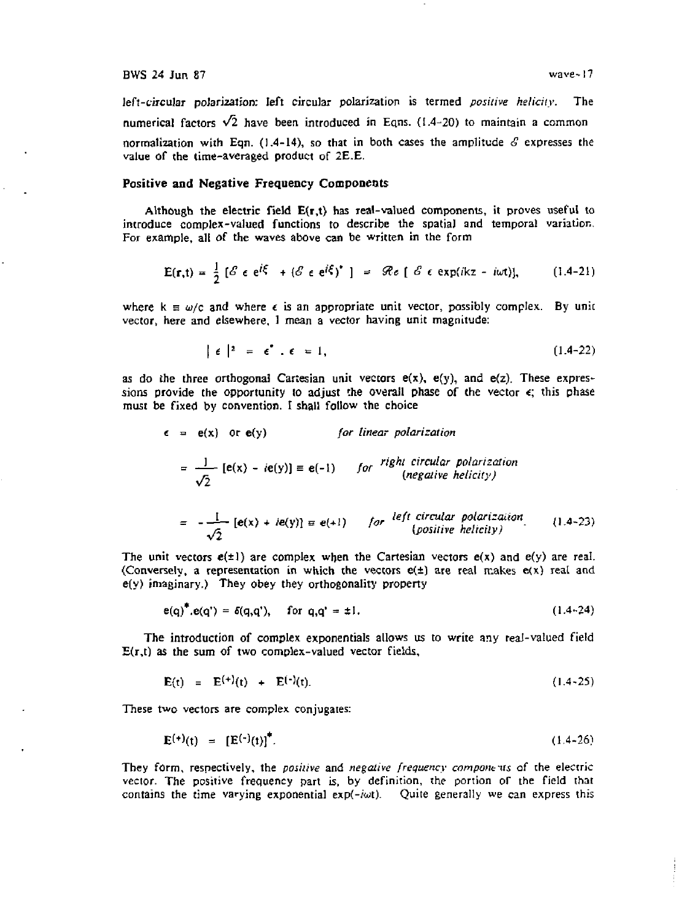left-circular polarization: left circular polarization is termed *positive helicity.* The numerical factors  $\sqrt{2}$  have been introduced in Eqns. (1.4-20) to maintain a common normalization with Eqn.  $(1.4-14)$ , so that in both cases the amplitude  $\mathcal E$  expresses the value of the time-averaged product of 2E.E.

### **Positive and Negative Frequency Components**

Although the electric field **E(r,t)** has real-valued components, it proves useful to introduce complex-valued functions to describe the spatial and temporal variation. For example, all of the waves above can be written in the form

$$
E(r,t) = \frac{1}{2} \left[ \mathcal{E} \epsilon e^{i\zeta} + (\mathcal{E} \epsilon e^{i\zeta})^* \right] = \mathcal{Re} \left[ \mathcal{E} \epsilon e^{i\zeta} \right] = \mathcal{Re} \left[ \mathcal{E} \epsilon e^{i\zeta} \right], \qquad (1.4-21)
$$

where  $k \equiv \omega/c$  and where  $\epsilon$  is an appropriate unit vector, possibly complex. By unit vector, here and elsewhere, 1 mean a vector having unit magnitude:

$$
|\epsilon|^2 = \epsilon^* \cdot \epsilon = 1, \tag{1.4-22}
$$

as do the three orthogonal Cartesian unit vectors  $e(x)$ ,  $e(y)$ , and  $e(z)$ . These expressions provide the opportunity to adjust the overall phase of the vector  $\epsilon$ ; this phase must be fixed by convention. I shall follow the choice

$$
\epsilon = e(x) \text{ or } e(y) \qquad \text{for linear polarization}
$$
\n
$$
= \frac{1}{\sqrt{2}} [e(x) - ie(y)] \equiv e(-1) \qquad \text{for } \text{right circular polarization}
$$
\n
$$
\text{(negative helicity)}
$$
\n
$$
= -\frac{1}{\sqrt{2}} [e(x) + ie(y)] \equiv e(+1) \qquad \text{for } \text{left circular polarization}
$$
\n
$$
\text{for } \text{right circular polarization}
$$
\n
$$
\text{for } \text{right circular polarization}
$$

A *{positive hehcily)*  The unit vectors  $e(\pm 1)$  are complex when the Cartesian vectors  $e(x)$  and  $e(y)$  are real. (Conversely, a representation in which the vectors  $e(\pm)$  are real makes  $e(x)$  real and

$$
e(q)^* \cdot e(q^*) = \delta(q, q^*)
$$
, for  $q, q^* = \pm 1$ . (1.4-24)

The introduction of complex exponentials allows us to write any real-valued field  $E(r,t)$  as the sum of two complex-valued vector fields,

$$
E(t) = E^{(+)}(t) + E^{(-)}(t). \qquad (1.4-25)
$$

These two vectors are complex conjugates:

 $e(y)$  imaginary.) They obey they orthogonality property

$$
\mathbf{E}^{(+)}(t) = [\mathbf{E}^{(-)}(t)]^{\dagger}.
$$
 (1.4-26)

They form, respectively, the *positive* and *negative frequency components* of the electric vector. The positive frequency part is, by definition, the portion of the field that contains the time varying exponential  $exp(-i\omega t)$ . Quite generally we can express this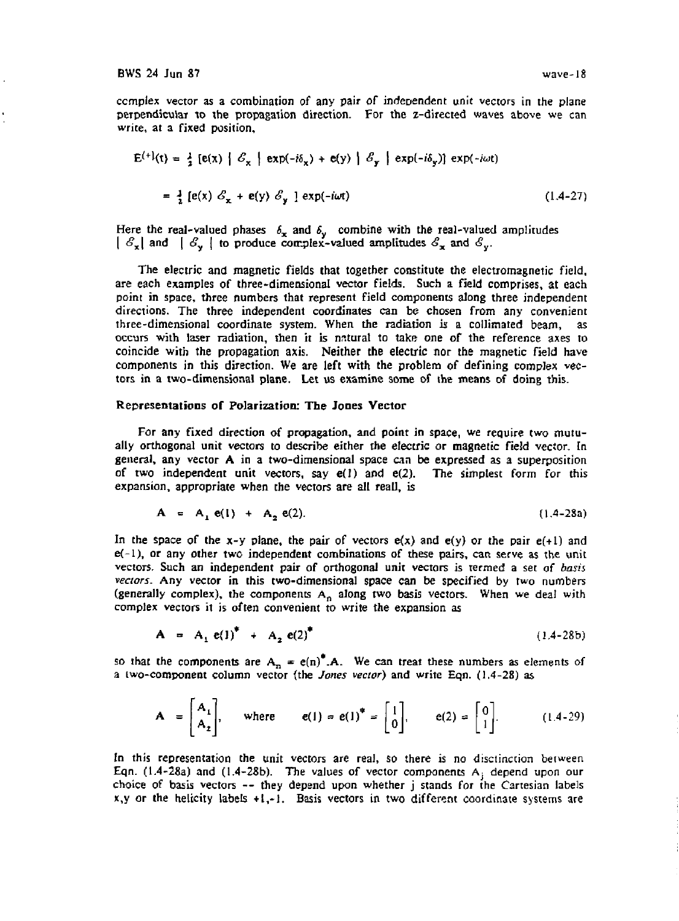complex vector as a combination of any pair of independent unit vectors in the plane perpendicular to the propagation direction. For the z-directed waves above we can write, at a fixed position,

$$
E^{(+)}(t) = \frac{1}{2} [e(x) | \mathcal{E}_x | exp(-i\delta_x) + e(y) | \mathcal{E}_y | exp(-i\delta_y)] exp(-i\omega t)
$$
  
= 
$$
\frac{1}{2} [e(x) \mathcal{E}_x + e(y) \mathcal{E}_y] exp(-i\omega t)
$$
 (1.4-27)

Here the real-valued phases  $\delta_{\mathbf{x}}$  $|\mathcal{E}_{\mathbf{x}}|$  and  $|\mathcal{E}_{\mathbf{y}}|$ and  $\delta_{\nu}$  combine with the real-valued amplitudes to produce complex-valued amplitudes  $\mathcal{E}_x$  and  $\mathcal{E}_y$ .

The electric and magnetic fields that together constitute the electromagnetic field, are each examples of three-dimensional vector fields. Such a field comprises, at each point in space, three numbers that represent field components along three independent directions. The three independent coordinates can be chosen from any convenient three-dimensional coordinate system. When the radiation is a collimated beam, as occurs with laser radiation, then it is natural to take one of the reference axes to coincide with the propagation axis. Neither the electric nor the magnetic field have components in this direction. We are left with the problem of defining complex vectors in a two-dimensional plane. Let us examine some of the means of doing this.

#### Representations of Polarization: The Jones Vector

For any fixed direction of propagation, and point in space, we require two mutually orthogonal unit vectors to describe either the electric or magnetic field vector. In general, any vector A in a two-dimensional space can be expressed as a superposition of two independent unit vectors, say e(l) and e(2). The simplest form for this expansion, appropriate when the vectors are all real], is

$$
A = A_1 e(1) + A_2 e(2). \qquad (1.4-28a)
$$

In the space of the x-y plane, the pair of vectors  $e(x)$  and  $e(y)$  or the pair  $e(+1)$  and  $e(-1)$ , or any other two independent combinations of these pairs, can serve as the unit vectors. Such an independent pair of orthogonal unit vectors is termed a set of *basis vectors.* Any vector in this two-dimensional space can be specified by two numbers (generally complex), the components  $A_n$  along two basis vectors. When we deal with complex vectors it is often convenient to write the expansion as

$$
A = A_1 e(1)^* + A_2 e(2)^* \tag{1.4-28b}
$$

so that the components are  $A_n = e(n)^* A$ . We can treat these numbers as elements of a two-component column vector (the *Jones vector)* and write Eqn. (1.4-28) as

$$
\mathbf{A} = \begin{bmatrix} \mathbf{A}_1 \\ \mathbf{A}_2 \end{bmatrix}, \quad \text{where} \quad \mathbf{e}(1) = \mathbf{e}(1)^* = \begin{bmatrix} 1 \\ 0 \end{bmatrix}, \quad \mathbf{e}(2) = \begin{bmatrix} 0 \\ 1 \end{bmatrix}.
$$
 (1.4-29)

In this representation the unit vectors are real, so there is no disciinction between Eqn.  $(1.4-28a)$  and  $(1.4-28b)$ . The values of vector components A<sub>j</sub> depend upon our choice of basis vectors — they depend upon whether j stands for the Cartesian labels  $x,y$  or the helicity labels  $+1,-1$ . Basis vectors in two different coordinate systems are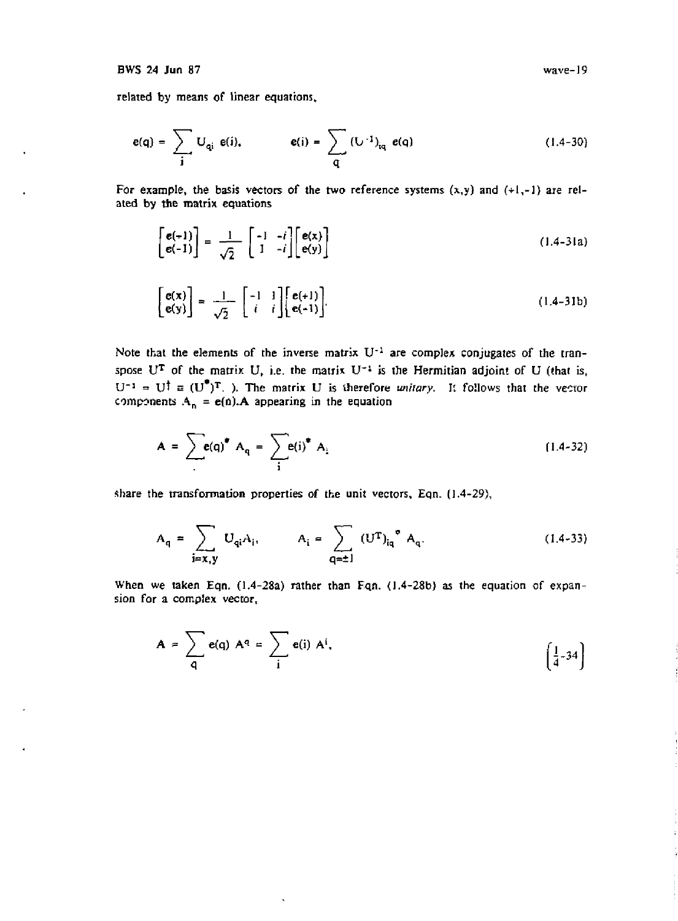#### BWS 24 Jun 87

related by means of linear equations.

$$
e(q) = \sum_{j} U_{qi} e(j), \qquad e(j) = \sum_{q} (U^{-1})_{iq} e(q) \qquad (1.4-30)
$$

For example, the basis vectors of the two reference systems  $(x,y)$  and  $(+1,-1)$  are related by the matrix equations

$$
\begin{bmatrix} e(+1) \\ e(-1) \end{bmatrix} = \frac{1}{\sqrt{2}} \begin{bmatrix} -1 & -i \\ 1 & -i \end{bmatrix} \begin{bmatrix} e(x) \\ e(y) \end{bmatrix}
$$
 (1.4-31a)

$$
\begin{bmatrix} \mathbf{e}(\mathbf{x}) \\ \mathbf{e}(\mathbf{y}) \end{bmatrix} = \frac{1}{\sqrt{2}} \begin{bmatrix} -1 & 1 \\ i & i \end{bmatrix} \begin{bmatrix} \mathbf{e}(+1) \\ \mathbf{e}(-1) \end{bmatrix} . \tag{1.4-31b}
$$

Note that the elements of the inverse matrix  $U^{-1}$  are complex conjugates of the transpose U<sup>T</sup> of the matrix U, i.e. the matrix U<sup>-1</sup> is the Hermitian adjoint of U (that is,  $U^{-1} = U^{\dagger} \equiv (U^{\dagger})^{\dagger}$ . The matrix U is therefore *unitary*. It follows that the vector components  $A_n = e(n)$ . A appearing in the equation

$$
A = \sum_{i} e(q)^{\bullet} A_{q} = \sum_{i} e(i)^{\bullet} A_{i}
$$
 (1.4-32)

share the transformation properties of the unit vectors, Eqn. (1.4-29),

$$
A_{q} = \sum_{i=x,y} U_{qi} A_{i}, \qquad A_{i} = \sum_{q=\pm 1} (U^{T})_{iq}^{\bullet} A_{q}.
$$
 (1.4-33)

When *we* taken Eqn. (1.4-28a) rather than Fqn. (1.4-28b) as the equation of expansion for a complex vector,

$$
A = \sum_{q} e(q) A^{q} = \sum_{i} e(i) A^{i}, \qquad \qquad \begin{pmatrix} \frac{1}{4} - 34 \end{pmatrix}
$$

wave-19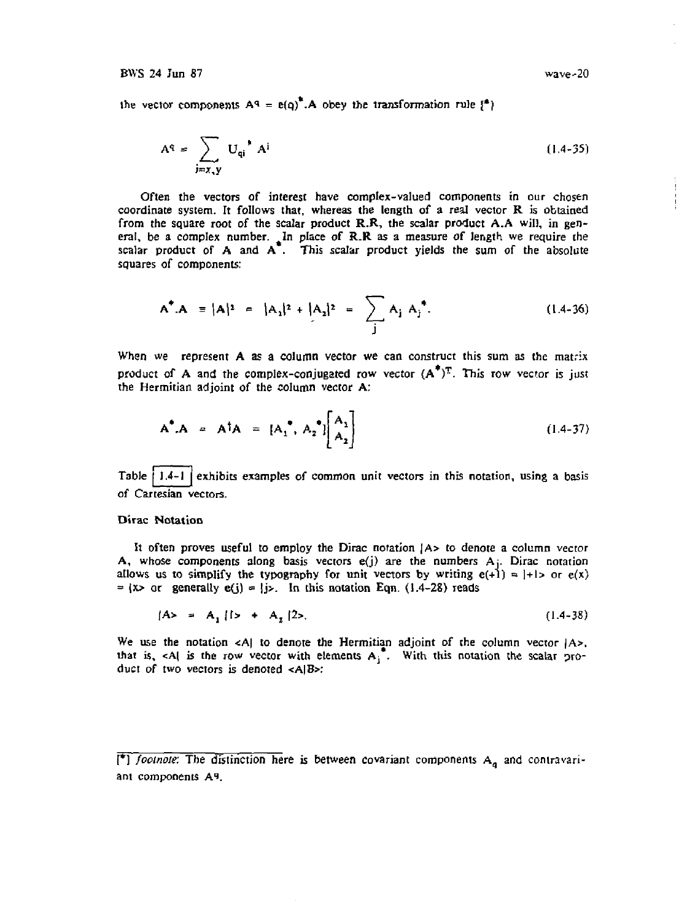the vector components  $A^q = e(q)^T A$  obey the transformation rule  $\{^4\}$ 

$$
A^{q} = \sum_{j=x,y} U_{qi}^{\dagger} A^{i}
$$
 (1.4-35)

Often the vectors of interest have complex-valued components in our chosen coordinate system. It follows that, whereas the length of a real vector  $R$  is obtained from the square root of the scalar product R.R, the scalar product A.A will, in general, be a complex number. In place of  $R.R$  as a measure of length we require the scalar product of A and  $A^T$ . This scalar product yields the sum of the absolute squares of components:

$$
A^* . A = |A|^2 = |A_1|^2 + |A_2|^2 = \sum_j A_j A_j^*.
$$
 (1.4-36)

When we represent A as a column vector we can construct this sum as the matrix product of A and the complex-conjugated row vector  $(A^T)^T$ . This row vector is just the Hermitian adjoint of the column vector A:

$$
A^* A = A^{\dagger} A = [A_1^*, A_2^*] \begin{bmatrix} A_1 \\ A_2 \end{bmatrix}
$$
 (1.4-37)

Table  $\vert$  1.4-1  $\vert$  exhibits examples of common unit vectors in this notation, using a basis of Cartesian vectors.

### Dirac Notation

It often proves useful to employ the Dirac notation |A> to denote a column vector A, whose components along basis vectors  $e(j)$  are the numbers  $A_j$ . Dirac notation allows us to simplify the typography for unit vectors by writing  $e(+1) = |+1\rangle$  or  $e(x)$  $=$   $(x>$  or generally  $e(j) = |j>$ . In this notation Eqn. (1.4-28) reads

$$
A > = A_1 \{ 1 > + A_2 \} 2.
$$
 (1.4-38)

We use the notation  $\langle A \rangle$  to denote the Hermitian adjoint of the column vector  $|A \rangle$ , that is, <A| is the row vector with elements  $A_i^{\dagger}$ . With this notation the scalar product of two vectors is denoted  $\langle A|B \rangle$ :

<sup>&</sup>lt;sup>†</sup>] *footnote*: The distinction here is between covariant components A<sub>q</sub> and contravariant components *At.*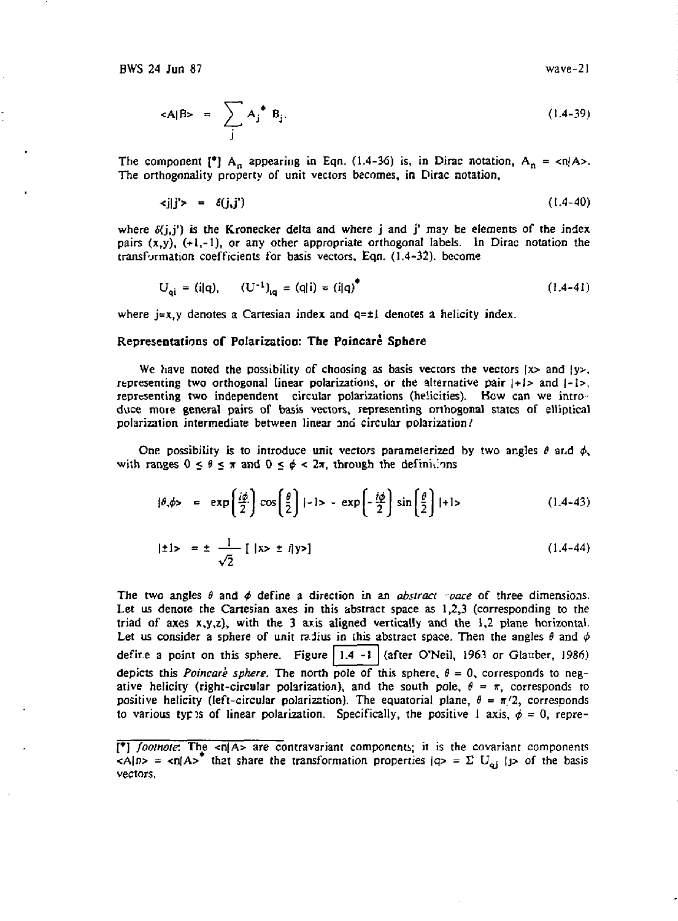$$
\langle A|B \rangle = \sum_{j} A_j^* B_j. \qquad (1.4-39)
$$

The component  $[{}^*]$  A<sub>n</sub> appearing in Eqn. (1.4-36) is, in Dirac notation, A<sub>n</sub> = <n|A>. The orthogonality property of unit vectors becomes, in Dirac notation,

$$
\langle j|j'\rangle = \delta(j,j') \qquad (1.4-40)
$$

where  $\delta(j, j')$  is the Kronecker delta and where j and j' may be elements of the index pairs  $(x,y)$ ,  $(+1,-1)$ , or any other appropriate orthogonal labels. In Dirac notation the transformation coefficients for basis vectors, Eqn. (1.4-32). become

$$
U_{ai} = (i|q), \qquad (U^{-1})_{ia} = (q|i) = (i|q)^{\dagger}
$$
 (1.4-41)

where  $j=x,y$  denotes a Cartesian index and  $q=\pm 1$  denotes a helicity index.

#### Representations or Polarization: The Poincare Sphere

We have noted the possibility of choosing as basis vectors the vectors  $|x\rangle$  and  $|y\rangle$ , representing two orthogonal linear polarizations, or the alternative pair  $|+1\rangle$  and  $|-1\rangle$ , representing two independent circular polarizations (helicities). How can we introduce more general pairs of basis vectors, representing orthogonal states of elliptical polarization intermediate between linear and circular polarization/

One possibility is to introduce unit vectors parameterized by two angles  $\theta$  and  $\phi$ , with ranges  $0 \le \theta \le \pi$  and  $0 \le \phi < 2\pi$ , through the definitions

$$
|\theta,\phi\rangle = \exp\left(\frac{i\phi}{2}\right)\cos\left(\frac{\theta}{2}\right)|-1\rangle - \exp\left(-\frac{i\phi}{2}\right)\sin\left(\frac{\theta}{2}\right)|+1\rangle \tag{1.4-43}
$$

$$
|\pm 1\rangle = \pm \frac{1}{\sqrt{2}} [ |x\rangle \pm i|y\rangle ] \qquad (1.4-44)
$$

The two angles *0* and *4>* define a direction in an *abstract oace* of three dimensions. Let us denote the Cartesian axes in this abstract space as  $1,2,3$  (corresponding to the triad of axes  $x, y, z$ , with the 3 axis aligned vertically and the 1,2 plane horizontal. Let us consider a sphere of unit radius in this abstract space. Then the angles  $\theta$  and  $\phi$ defire a point on this sphere. Figure  $|1.4 -1|$  (after O'Neil, 1963 or Glauber, 1986) depicts this *Poincare sphere*. The north pole of this sphere,  $\theta = 0$ , corresponds to negative helicity (right-circular polarization), and the south pole,  $\theta = \pi$ , corresponds to positive helicity (left-circular polarization). The equatorial plane,  $\theta = \pi/2$ , corresponds to various types of linear polarization. Specifically, the positive 1 axis,  $\phi = 0$ , repre-

<sup>[\*]</sup> *footnote:* The <n|A> are contravariant components; it is the covariant components  $\langle A|D \rangle$  =  $\langle A|A \rangle$  that share the transformation properties  $|Q \rangle = \sum U_{\alpha i}$  (j) of the basis vectors.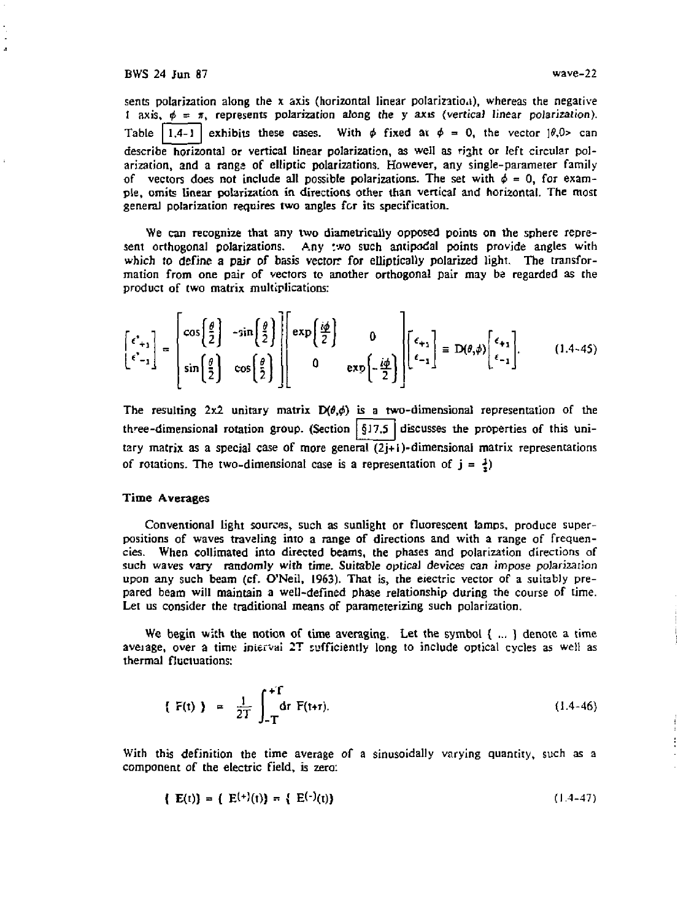J.

sents polarization along the x axis (horizontal linear polarization), whereas the negative i axis,  $\phi = \pi$ , represents polarization along the y axis (vertical linear polarization). Table 1.4-1 exhibits these cases. With  $\phi$  fixed at  $\phi = 0$ , the vector  $\frac{\theta_1 \phi_2}{\phi_1 \phi_2}$  can describe horizontal or vertical linear polarization, as well as right or left circular polarization, and a rangs of elliptic polarizations. However, any single-parameter family of vectors does not include all possible polarizations. The set with  $\phi = 0$ , for example, omits linear polarization in directions other than vertical and horizontal. The most general polarization requires two angles for its specification.

We can recognize that any two diametrically opposed points on the sphere represent orthogonal polarizations. Any two such antipodal points provide angles with which to define a pair of basis vectors for elliptically polarized light. The transformation from one pair of vectors to another orthogonal pair may be regarded as the product of two matrix multiplications:

$$
\begin{bmatrix} \epsilon^*_{+1} \\ \epsilon^*_{-1} \end{bmatrix} = \begin{bmatrix} \cos\left(\frac{\theta}{2}\right) & -\sin\left(\frac{\theta}{2}\right) \\ \sin\left(\frac{\theta}{2}\right) & \cos\left(\frac{\theta}{2}\right) \end{bmatrix} \begin{bmatrix} \exp\left(\frac{i\phi}{2}\right) & 0 \\ 0 & \exp\left(-\frac{i\phi}{2}\right) \end{bmatrix} \begin{bmatrix} \epsilon_{+1} \\ \epsilon_{-1} \end{bmatrix} \equiv D(\theta, \phi) \begin{bmatrix} \epsilon_{+1} \\ \epsilon_{-1} \end{bmatrix}.
$$
 (1.4-45)

The resulting  $2x2$  unitary matrix  $D(\theta, \phi)$  is a two-dimensional representation of the three-dimensional rotation group. (Section  $\int$ §17.5 discusses the properties of this unitary matrix as a special case of more general  $(2j+1)$ -dimensional matrix representations of rotations. The two-dimensional case is a representation of  $j = \frac{1}{2}$ )

## Time Averages

Conventional light sources, such as sunlight or fluorescent lamps, produce superpositions of waves traveling into a range of directions and with a range of frequencies. When collimated into directed beams, the phases and polarization directions of such waves vary randomly with time. Suitable optical devices can impose polarization upon any such beam (cf. O'Neil, 1963). That is, the eiectric vector of a suitably prepared beam will maintain a well-defined phase relationship during the course of time. Let us consider the traditional means of parameterizing such polarization.

We begin with the notion of time averaging. Let the symbol { ... ) denote a time aveiage, over a time jniervai 2T sufficiently long to include optical cycles as well as thermal fluctuations:

$$
\{ F(t) \} = \frac{1}{2T} \int_{-T}^{+T} dr \ F(t+ \tau). \tag{1.4-46}
$$

With this definition the time average of a sinusoidally varying quantity, such as a component of the electric field, is zero:

$$
\{ \mathbf{E}(t) \} = \{ \mathbf{E}^{(+)}(t) \} = \{ \mathbf{E}^{(-)}(t) \}
$$
 (1.4-47)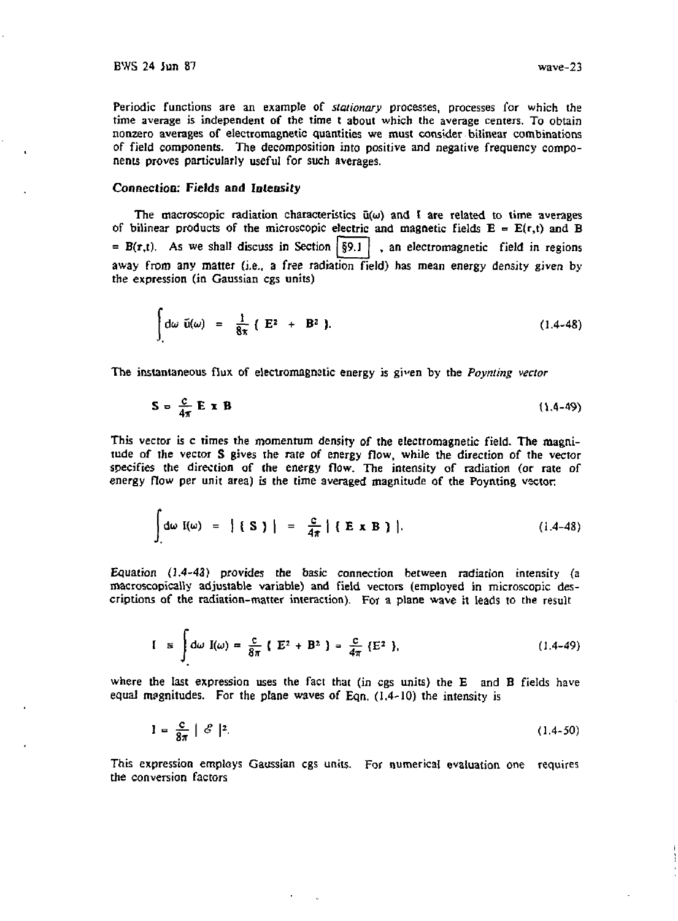Periodic functions are an example of *stationary* processes, processes for which the time average is independent of the time t about which the average centers. To obtain nonzero averages of electromagnetic quantities we must consider bilinear combinations of field components. The decomposition into positive and negative frequency components proves particularly useful for such averages.

## **Connection: Fields and Intensity**

The macroscopic radiation characteristics u(w) and **t** are related to time averages of bilinear products of the microscopic electric and magnetic fields  $E = E(r,t)$  and B =  $B(r,t)$ . As we shall discuss in Section  $\frac{50}{9}$ . an electromagnetic field in regions away from any matter (i.e., a free radiation field) has mean energy density given by the expression (in Gaussian cgs units)

$$
\int_{A} d\omega \ \tilde{u}(\omega) = \frac{1}{8\pi} \left( E^2 + B^2 \right). \tag{1.4-48}
$$

The instantaneous flux of electromagnetic energy is g'p'en by the *Poynting vector* 

$$
S = \frac{C}{4\pi} E \times B \tag{1.4-49}
$$

This vector is c times the momentum density of the electromagnetic field. The magnitude of the vector S gives the rate of energy flow, while the direction of the vector specifies the direction of the energy flow. The intensity of radiation (or rate of energy flow per unit area) is the time averaged magnitude of the Poynting vector

$$
\int d\omega \, I(\omega) = | \{ S \} | = \frac{c}{4\pi} | \{ E \times B \} |.
$$
 (1.4-48)

Equation (1.4-43) provides the basic connection between radiation intensity (a macroscopically adjustable variable) and field vectors (employed in microscopic descriptions of the radiation-matter interaction). For a plane wave it leads to the result

$$
I = \int d\omega I(\omega) = \frac{c}{8\pi} \{ E^2 + B^2 \} = \frac{c}{4\pi} \{ E^2 \}, \qquad (1.4-49)
$$

where the last expression uses the fact that (in cgs units) the E and B fields have equal magnitudes. For the plane waves of Eqn. (1.4-10) the intensity is

$$
I = \frac{c}{8\pi} \mid \mathcal{E} \mid^2. \tag{1.4-50}
$$

This expression employs Gaussian cgs units. For numerical evaluation one requires the conversion factors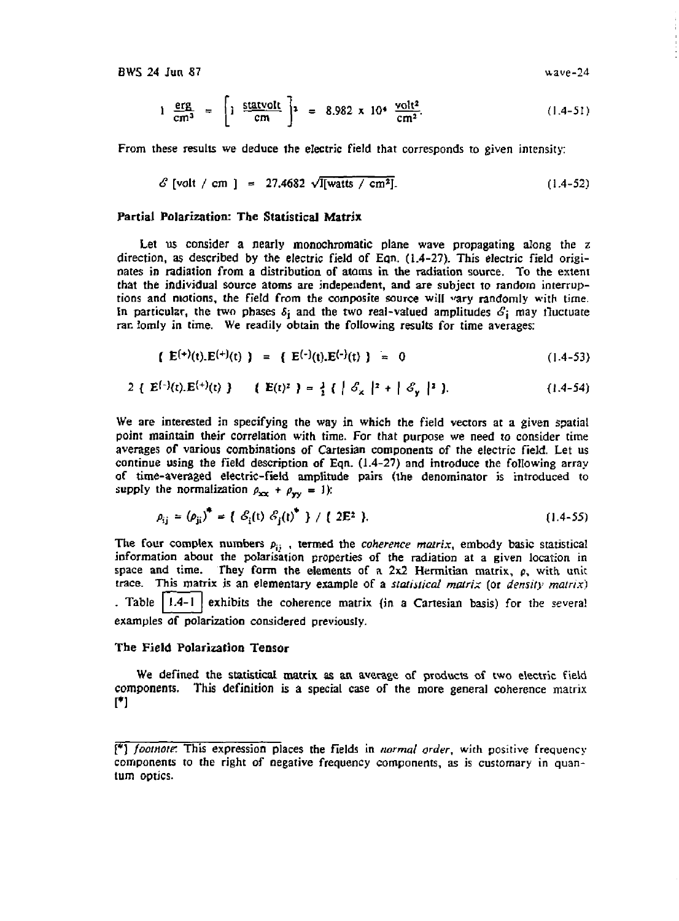$$
1 \frac{\text{erg}}{\text{cm}^3} = \left[1 \frac{\text{statvolt}}{\text{cm}}\right]^2 = 8.982 \times 10^4 \frac{\text{volt}^2}{\text{cm}^2}.
$$
 (1.4-51)

From these results we deduce the electric field that corresponds to given intensity:

$$
S \text{ [volt / cm]} = 27.4682 \sqrt{\text{I}[\text{watts / cm}^2]}.
$$
 (1.4-52)

## Partial Polarization: The Statistical Matrix

Let us consider a nearly monochromatic plane wave propagating along the z direction, as described by the electric field of Eqn. (1.4-27). This electric field originates in radiation from a distribution of atoms in the radiation source. To the extent that the individual source atoms are independent, and are subject to random interruptions and motions, the field from the composite source will «ary randomly with time. In particular, the two phases  $\delta_i$  and the two real-valued amplitudes  $\mathcal{S}_i$  may fluctuate ran lomly in time. We readily obtain the following results for time averages:

$$
\{ E^{(+)}(t).E^{(+)}(t) \} = \{ E^{(-)}(t).E^{(-)}(t) \} = 0
$$
 (1.4-53)

$$
2 \{ E^{(-)}(t).E^{(+)}(t) \} \{ E(t)^2 \} = \frac{3}{2} \{ | \mathcal{S}_x |^2 + | \mathcal{S}_y |^2 \}.
$$
 (1.4-54)

We are interested in specifying the way in which the field vectors at a given spatial point maintain their correlation with time. For that purpose we need to consider time averages of various combinations of Cartesian components of the electric field. Let us continue using the field description of Eqn. (1.4-27) and introduce the following array of time-averaged electric-field amplitude pairs (the denominator is introduced to supply the normalization  $\rho_{xx} + \rho_{yy} = 1$ ):

$$
\rho_{ij} = (\rho_{ji})^* = \{ \mathcal{S}_i(t) \mathcal{S}_i(t)^* \} / \{ 2E^2 \}.
$$
 (1.4-55)

The four complex numbers  $p_i$ , termed the *coherence matrix*, embody basic statistical information about the polarisation properties of the radiation at a given location in space and time. They form the elements of a  $2x2$  Hermitian matrix,  $\rho$ , with unit trace. This matrix is an elementary example of a *statistical matrix* (or *density matrix) .* Table 1.4-1 exhibits the coherence matrix (in a Cartesian basis) for the several examples of polarization considered previously.

## The Field Polarization Tensor

We defined the statistical matrix as an average of products of two electric field components. This definition is a special case of the more general coherence matrix [\*)

<sup>[\*]</sup> *footnote.* This expression places the fields in *normal order,* with positive frequency components to the right of negative frequency components, as is customary in quantum optics.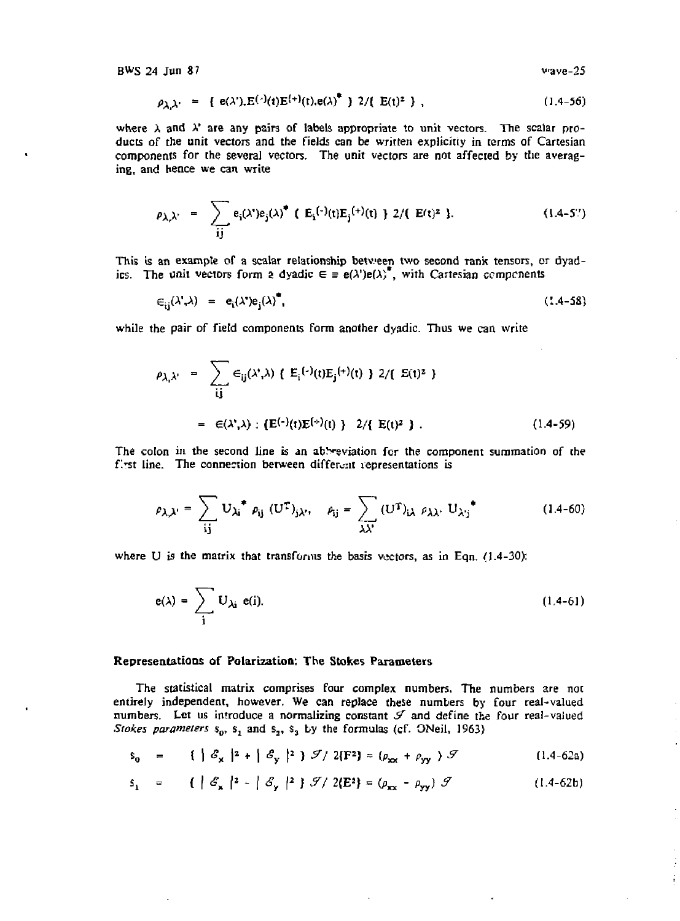$$
\rho_{\lambda,\lambda'} = \{ e(\lambda'), E^{(-)}(t)E^{(+)}(t).e(\lambda)^{*} \} \; 2/\{ E(t)^{2} \} \; , \tag{1.4-56}
$$

where  $\lambda$  and  $\lambda'$  are any pairs of labels appropriate to unit vectors. The scalar products of the unit vectors and the fields can be written explicitly in terms of Cartesian components for the several vectors. The unit vectors are not affected by the averaging, and hence we can write

$$
\rho_{\lambda_i \lambda'} = \sum_{\mathbf{i} \mathbf{j}} e_{\mathbf{i}}(\lambda^*) e_{\mathbf{j}}(\lambda)^{\bullet} \quad (\mathbf{E}_{\mathbf{i}}^{(-)}(\mathbf{t}) \mathbf{E}_{\mathbf{j}}^{(+)}(\mathbf{t}) + 2 / (\mathbf{E}(\mathbf{t})^2) \tag{1.4-5?}
$$

This is an example of a scalar relationship between two second rank tensors, or dyadics. The unit vectors form a dyadic  $\epsilon = e(\lambda')e(\lambda)$ , with Cartesian components

$$
\epsilon_{ii}(\lambda^*,\lambda) = e_i(\lambda^*)e_i(\lambda)^*, \qquad (1.4-58)
$$

while the pair of field components form another dyadic. Thus we can write

$$
\rho_{\lambda_i \lambda'} = \sum_{ij} \epsilon_{ij}(\lambda', \lambda) \{ E_i^{(-)}(t) E_j^{(+)}(t) \} 2 / (E(t)^2)
$$
  
=  $\epsilon(\lambda', \lambda) : \{ E^{(-)}(t) E^{(+)}(t) \} 2 / \{ E(t)^2 \} .$  (1.4-59)

The colon in the second line is an abbreviation for the component summation of the first line. The connection between different representations is

$$
\rho_{\lambda,\lambda'} = \sum_{ij} U_{\lambda i}^* \rho_{ij} (U^T)_{j\lambda'}, \quad \rho_{ij} = \sum_{\lambda \lambda'} (U^T)_{i\lambda} \rho_{\lambda \lambda'} U_{\lambda' j}^* \qquad (1.4-60)
$$

where U is the matrix that transforms the basis vectors, as in Eqn. (1.4-30);

$$
e(\lambda) = \sum_{i} U_{\lambda i} e(i). \tag{1.4-61}
$$

## Representations of Polarization: The Stokes Parameters

The statistical matrix comprises four complex numbers. The numbers are not entirely independent, however. We can replace these numbers by four real-valued numbers. Let us introduce a normalizing constant *&* and define the four real-valued *Stokes parameters*  $s_0$ ,  $s_1$  and  $s_2$ ,  $s_3$  by the formulas (cf. ONeil, 1963)

$$
\mathbf{s}_0 = \left\{ \left| \mathcal{E}_{\mathbf{x}} \right|^{2} + \left| \mathcal{E}_{\mathbf{y}} \right|^{2} \right\} \mathcal{F} / 2(\mathbf{F}^2) = \left( \rho_{\mathbf{x} \mathbf{x}} + \rho_{\mathbf{y} \mathbf{y}} \right) \mathcal{F} \tag{1.4-62a}
$$

$$
\mathbf{s}_{1} = \{ \mid \mathcal{E}_{\mathbf{x}} \mid \mathbf{z} - \mid \mathcal{E}_{\mathbf{y}} \mid \mathbf{z} \} \mathcal{J} / 2(\mathbf{E}^{\mathbf{z}}) = (\rho_{\mathbf{x} \mathbf{x}} - \rho_{\mathbf{y} \mathbf{y}}) \mathcal{J} \tag{1.4-62b}
$$

Ť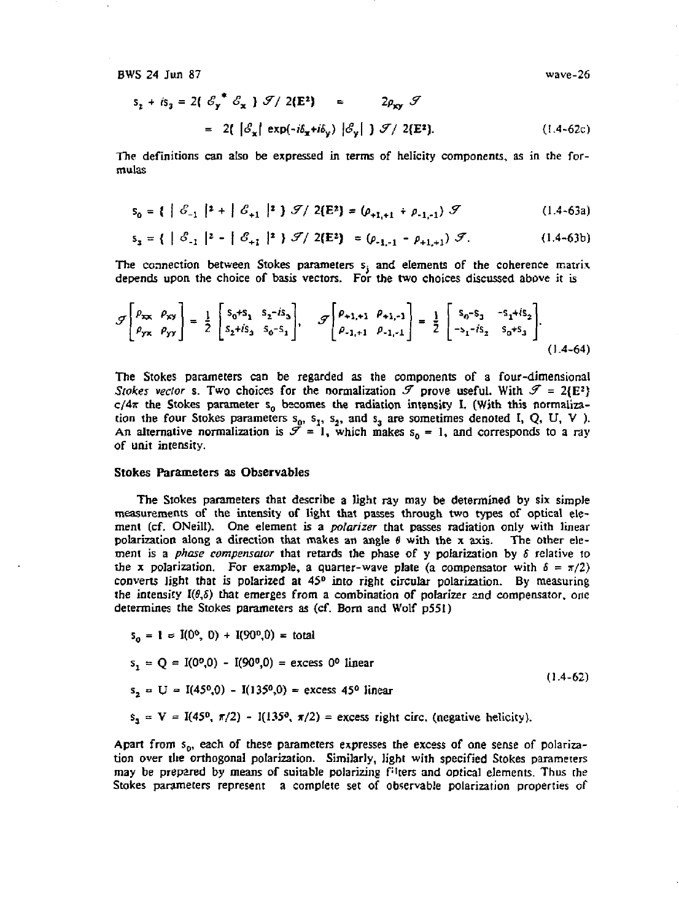BWS 24 Jun 87

$$
s_{z} + is_{3} = 2\left(\begin{array}{c} \mathcal{E}_{y}^{*} & \mathcal{E}_{x} \end{array}\right) \mathcal{J}/2\left(\mathbf{E}^{2}\right) \approx 2\rho_{xy} \mathcal{J}
$$
\n
$$
= 2\left(\begin{array}{c} \mathcal{E}_{x} \end{array}\right) \exp\left(-i\delta_{x} + i\delta_{y}\right) \left|\mathcal{E}_{y}\right| \mathcal{J}/2\left(\mathbf{E}^{2}\right). \tag{1.4-62c}
$$

The definitions can also be expressed in terms of helicity components, as in the formulas

$$
s_0 = \{ |S_{-1}|^2 + |S_{+1}|^2 \} \mathcal{I}/2(E^2) = (\rho_{+1,+1} + \rho_{-1,-1}) \mathcal{I}
$$
 (1.4-63a)

$$
s_3 = \{ |S_{-1}|^2 - |S_{+1}|^2 \} \mathcal{F} / 2(E^2) = (\rho_{-1,-1} - \rho_{+1,+1}) \mathcal{F}. \tag{1.4-63b}
$$

The connection between Stokes parameters  $s_i$  and elements of the coherence matrix depends upon the choice of basis vectors. For the two choices discussed above it is

$$
\mathcal{F}\left[\begin{matrix} \rho_{xx} & \rho_{xy} \\ \rho_{yx} & \rho_{yy} \end{matrix}\right] = \frac{1}{2} \begin{bmatrix} s_0 + s_1 & s_2 - is_3 \\ s_2 + is_3 & s_0 - s_1 \end{bmatrix}, \quad \mathcal{F}\left[\begin{matrix} \rho_{+1,+1} & \rho_{+1,-1} \\ \rho_{-1,+1} & \rho_{-1,-1} \end{matrix}\right] = \frac{1}{2} \begin{bmatrix} s_0 - s_1 & -s_1 + is_2 \\ -s_1 - is_2 & s_0 + s_3 \end{bmatrix}.
$$
\n(1.4-64)

The Stokes parameters can be regarded as the components of a four-dimensional *Stokes vector* s. Two choices for the normalization  $\mathcal{F}$  prove useful. With  $\mathcal{F} = 2(E^2)$  $c/4\pi$  the Stokes parameter s<sub>o</sub> becomes the radiation intensity I. (With this normalization the four Stokes parameters  $s_0$ ,  $s_1$ ,  $s_2$ , and  $s_3$  are sometimes denoted I, Q, U, V). An alternative normalization is  $\mathcal{F} = 1$ , which makes  $s_0 = 1$ , and corresponds to a ray of unit intensity.

#### Stokes Parameters as Observables

The Stokes parameters that describe a light ray may be determined by six simple measurements of the intensity *of* light that passes through two types of optical element (cf. ONeill). One element is a *polarizer* that passes radiation only with linear polarization along a direction that makes an angle *0* with the x axis. The other element is a *phase compensator* that retards the phase of y polarization by *S* relative to the x polarization. For example, a quarter-wave plate (a compensator with  $\delta = \pi/2$ ) converts light that is polarized at  $45<sup>0</sup>$  into right circular polarization. By measuring the intensity  $I(\theta,\delta)$  that emerges from a combination of polarizer and compensator, one determines the Stokes parameters as (cf. Born and Wolf p551)

$$
s_0 = 1 = I(0^0, 0) + I(90^0, 0) = total
$$
  
\n
$$
s_1 = Q = I(0^0, 0) - I(90^0, 0) = excess 0^0 linear
$$
  
\n
$$
s_2 = U = I(45^0, 0) - I(135^0, 0) = excess 45^0 linear
$$
  
\n
$$
s_3 = V = I(45^0, \pi/2) - I(135^0, \pi/2) = excess right circ. (negative helicity).
$$

Apart from  $s_{\rm p}$ , each of these parameters expresses the excess of one sense of polarization over the orthogonal polarization. Similarly, light with specified Stokes parameters may be prepared by means of suitable polarizing filters and optical elements. Thus the Stokes parameters represent a complete set of observable polarization properties of

wave-26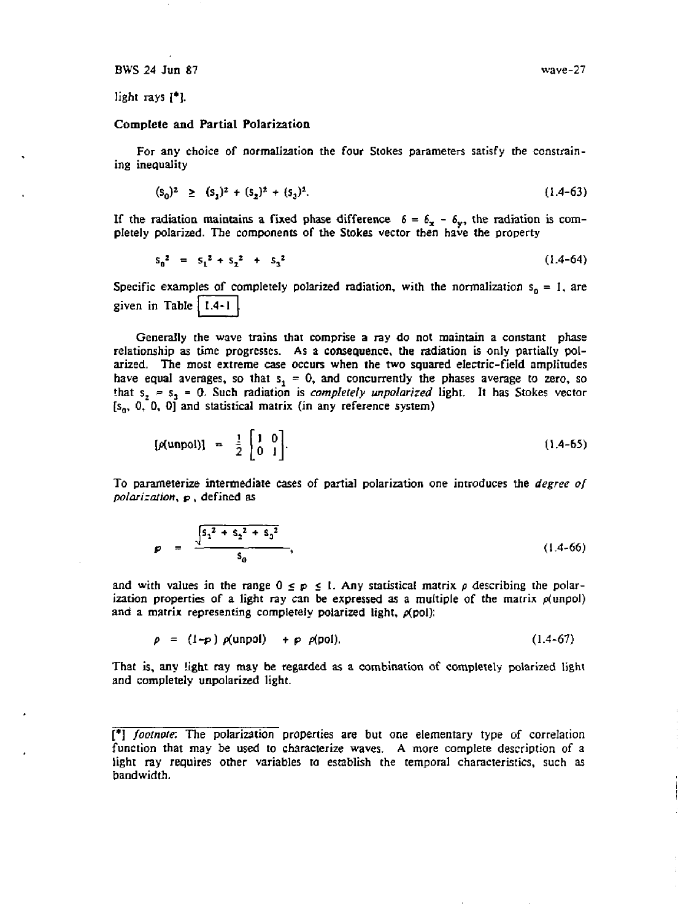light rays [\*].

# Complete and Partial Polarization

For any choice of normalization the four Stokes parameters satisfy the constraining inequality

$$
(s_0)^2 \ge (s_1)^2 + (s_2)^2 + (s_3)^2. \tag{1.4-63}
$$

If the radiation maintains a fixed phase difference  $\delta = \delta_{\bf x} - \delta_{\bf y}$ , the radiation is completely polarized. The components of the Stokes vector then have the property

$$
s_0^2 = s_1^2 + s_2^2 + s_3^2 \tag{1.4-64}
$$

Specific examples of completely polarized radiation, with the normalization  $s_0 = 1$ , are given in Table  $|1.4-1|$ 

Generally the wave trains that comprise a ray do not maintain a constant phase relationship as time progresses. As a consequence, the radiation is only partially polarized. The most extreme case occurs when the two squared electric-field amplitudes have equal averages, so that  $s<sub>1</sub> = 0$ , and concurrently the phases average to zero, so that  $s_2 = s_3 = 0$ . Such radiation is *completely unpolarized* light. It has Stokes vector  $[s_0, 0, 0, 0]$  and statistical matrix (in any reference system)

$$
[\rho(\text{unpol})] = \frac{1}{2} \begin{bmatrix} 1 & 0 \\ 0 & 1 \end{bmatrix}.
$$
 (1.4-65)

To parameterize intermediate cases of partial polarization one introduces the *degree of polarization, p*, defined as

$$
p = \frac{\sqrt{5_1^2 + 5_2^2 + 5_3^2}}{5_0},
$$
 (1.4-66)

and with values in the range  $0 \le p \le 1$ . Any statistical matrix  $p$  describing the polarization properties of a light ray can be expressed as a multiple of the matrix  $\rho$ (unpol) and a matrix representing completely polarized light, *p{poi):* 

$$
\rho = (1-p) \rho(\text{unpol}) + \rho \rho(\text{pol}). \qquad (1.4-67)
$$

That is, any light ray may be regarded as a combination of completely polarized light and completely unpolarized light.

<sup>[\*]</sup> *footnote.* The polarization properties are but one elementary type of correlation function that may be used to characterize waves. A more complete description of a light ray requires other variables to establish the temporal characteristics, such as bandwidth.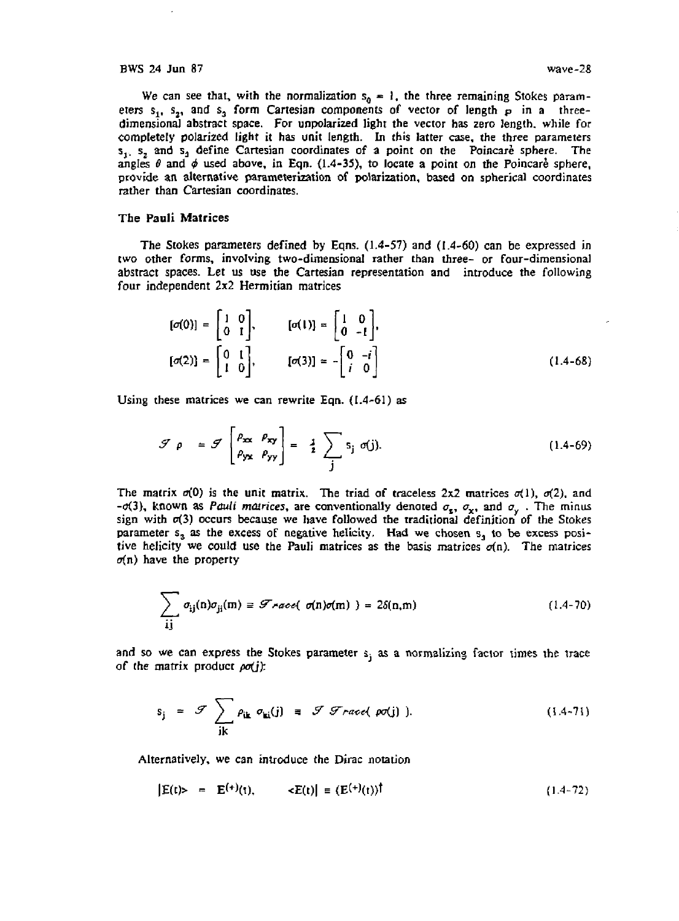We can see that, with the normalization  $s_0 = 1$ , the three remaining Stokes parameters  $s_1$ ,  $s_2$ , and  $s_3$  form Cartesian components of vector of length  $p$  in a threedimensional abstract space. For unpolarized light the vector has zero length, while for completely polarized light it has unit length. In this latter case, the three parameters  $s_1$ ,  $s_2$  and  $s_3$  define Cartesian coordinates of a point on the Poincare sphere. The angles  $\theta$  and  $\phi$  used above, in Eqn. (1.4-35), to locate a point on the Poincare sphere, provide an alternative parameterization of polarization, based on spherical coordinates rather than Cartesian coordinates.

## The Pauli Matrices

The Stokes parameters defined by Eqns. (1.4-57) and (1.4-60) can be expressed in two other forms, involving two-dimensional rather than three- or four-dimensional abstract spaces. Let us use the Cartesian representation and introduce the following four independent 2x2 Hermitian matrices

$$
[\sigma(0)] = \begin{bmatrix} 1 & 0 \\ 0 & 1 \end{bmatrix}, \qquad [\sigma(1)] = \begin{bmatrix} 1 & 0 \\ 0 & -1 \end{bmatrix},
$$

$$
[\sigma(2)] = \begin{bmatrix} 0 & 1 \\ 1 & 0 \end{bmatrix}, \qquad [\sigma(3)] = -\begin{bmatrix} 0 & -i \\ i & 0 \end{bmatrix}
$$
(1.4-68)

Using these matrices we can rewrite Eqn.  $(1.4-61)$  as

$$
\mathcal{F} \rho = \mathcal{F} \begin{bmatrix} \rho_{xx} & \rho_{xy} \\ \rho_{yx} & \rho_{yy} \end{bmatrix} = \frac{1}{2} \sum_{j} s_j \sigma(j). \qquad (1.4-69)
$$

The matrix  $\sigma(0)$  is the unit matrix. The triad of traceless  $2x2$  matrices  $\sigma(1)$ ,  $\sigma(2)$ , and  $-\sigma(3)$ , known as *Pauli matrices*, are conventionally denoted  $\sigma_{\mathbf{r}}, \sigma_{\mathbf{r}},$  and  $\sigma_{\mathbf{v}}$ . The minus sign with  $\sigma(3)$  occurs because we have followed the traditional definition of the Stokes parameter s<sub>a</sub> as the excess of negative helicity. Had we chosen s<sub>a</sub> to be excess positive helicity we could use the Pauli matrices as the basis matrices  $\sigma(n)$ . The matrices  $\sigma(n)$  have the property

$$
\sum_{ij} \sigma_{ij}(n)\sigma_{ji}(m) \equiv \mathcal{F} \land \text{mod} \quad \sigma(n)\sigma(m) \quad \text{)} = 2\delta(n,m) \tag{1.4-70}
$$

and so we can express the Stokes parameter  $s_i$  as a normalizing factor times the trace of the matrix product *pa(jy.* 

$$
s_j = \mathcal{F} \sum_{i \mathbf{k}} \rho_{i\mathbf{k}} \sigma_{\mathbf{k}i}(j) = \mathcal{F} \mathcal{F} \text{~raced (} \text{ } \text{pc}(j) ). \tag{1.4-71}
$$

Alternatively, we can introduce the Dirac notation

$$
|E(t) \rangle = E^{(+)}(t), \qquad \langle E(t) | \equiv (E^{(+)}(t))^\dagger \tag{1.4-72}
$$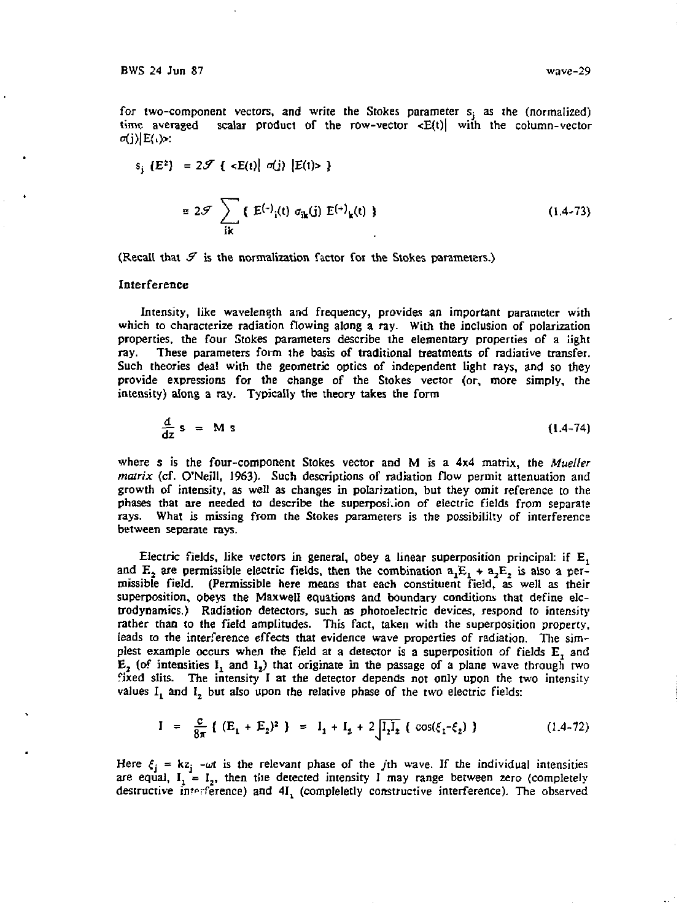for two-component vectors, and write the Stokes parameter  $s_i$  as the (normalized) time averaged scalar product of the row-vector  $\langle E(t) |$  with the column-vector  $\sigma(j)$ |E( $\rightarrow$ :

$$
s_{j} (E^{2}) = 2\mathcal{F} \{ \langle E(t) | \sigma(j) | E(t) \rangle \}
$$
  

$$
= 2\mathcal{F} \sum_{i,k} \{ E^{(-)}_{i}(t) \sigma_{ik}(j) E^{(+)}_{k}(t) \}
$$
 (1.4-73)

(Recall that *&* is the normalization factor for the Stokes parameters.)

#### Interference

Intensity, like wavelength and frequency, provides an important parameter with which to characterize radiation flowing along a ray. With the inclusion of polarization properties, the four Stokes parameters describe the elementary properties of a light ray. These parameters form the basis of traditional treatments of radiative transfer. Such theories deal with the geometric optics of independent light rays, and so they provide expressions for the change of the Stokes vector (or, more simply, the intensity) along a ray. Typically the theory takes the form

$$
\frac{d}{dz} s = M s \tag{1.4-74}
$$

where s is the four-component Stokes vector and M is a 4x4 matrix, the *Mueller matrix* (cf. O'Neill, 1963). Such descriptions of radiation flow permit attenuation and growth of intensity, as well as changes in polarization, but they omit reference to the phases that are needed to describe the superposi.ion of electric fields from separate rays. What is missing from the Stokes parameters is the possibility of interference between separate rays.

Electric fields, like vectors in general, obey a linear superposition principal: if  $E_1$ and  $E_2$  are permissible electric fields, then the combination  $a_1E_1 + a_2E_2$  is also a permissible field. (Permissible here means that each constituent field, as well as their superposition, obeys the Maxwell equations and boundary conditions that define elctrodynamics.) Radiation detectors, such as photoelectric devices, respond to intensity rather than to the field amplitudes. This fact, taken with the superposition property, leads to the interference effects that evidence wave properties of radiation. The simplest example occurs when the field at a detector is a superposition of fields E, and  $E_2$  (of intensities  $I_1$  and  $I_2$ ) that originate in the passage of a plane wave through two fixed slits. The intensity I at the detector depends not only upon the two intensity values  $I_1$  and  $I_2$  but also upon the relative phase of the two electric fields:

$$
I = \frac{c}{8\pi} \{ (E_1 + E_2)^2 \} = I_1 + I_2 + 2 \sqrt{I_1 I_2} \{ \cos(\xi_1 - \xi_2) \}
$$
 (1.4-72)

Here  $\xi_j = kz_j$  - $\omega t$  is the relevant phase of the jth wave. If the individual intensities are equal,  $I_1 = I_2$ , then the detected intensity I may range between zero (completely destructive interference) and  $4I_1$  (compleletly constructive interference). The observed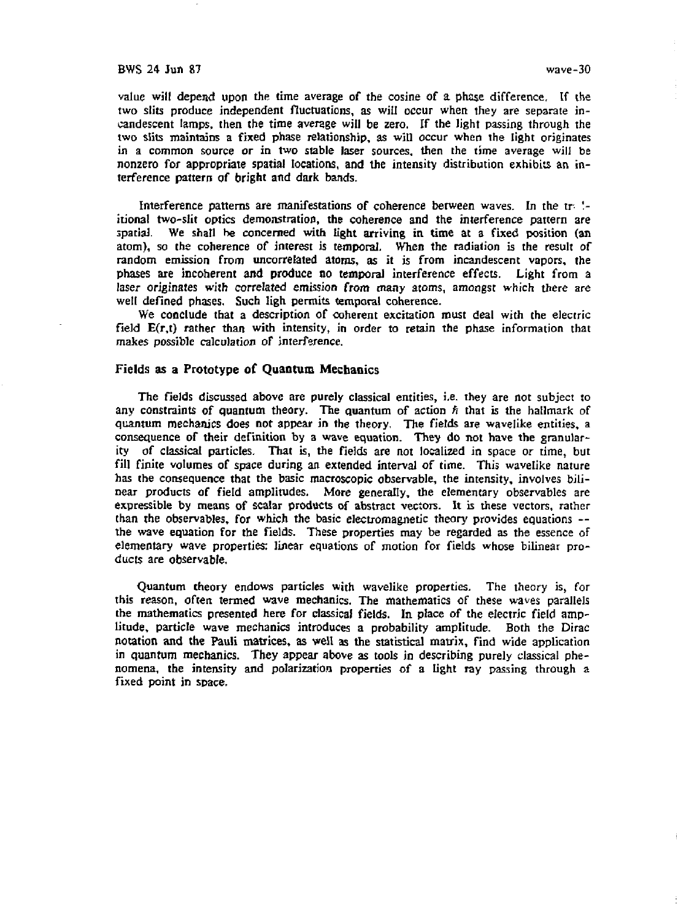value will depend upon the time average of the cosine of a phase difference. If the two slits produce independent fluctuations, as will occur when they are separate incandescent lamps, then the time average will be zero. If the light passing through the two slits maintains a fixed phase relationship, as wit] occur when the light originates in a common source or in two stable laser sources, then the time average will be nonzero for appropriate spatial locations, and the intensity distribution exhibits an interference pattern of bright and dark bands.

Interference patterns are manifestations of coherence between waves. In the tr *'.* itional two-slit optics demonstration, the coherence and the interference pattern are spatial. We shall be concerned with light arriving in time at a fixed position (an atom), so the coherence of interest is temporal. When the radiation is the result of random emission from uncorrelated atoms, as it is from incandescent vapors, the phases are incoherent and produce no temporal interference effects. Light from a laser originates with correlated emission from many atoms, amongst which there are well defined phases. Such ligh permits temporal coherence.

We conclude that a description of coherent excitation must deal with the electric field  $E(r,t)$  rather than with intensity, in order to retain the phase information that makes possible calculation of interference.

### Fields as **a Prototype of Quantum Mechanics**

The fields discussed above are purely classical entities, i.e. they are not subject to any constraints of quantum theory. The quantum of action *fi* that is the hallmark of quantum mechanics does not appear in the theory. The fields are wavelike entities, a consequence of their definition by a wave equation. They do not have the granularity *of* classical particles. That is, the fields are not localized in space or time, but fill finite volumes of space during an extended interval of time. This wavelike nature has the consequence that the basic macroscopic observable, the intensity, involves bilinear products of field amplitudes. More generally, the elementary observables are expressible by means of scalar products of abstract vectors. It is these vectors, rather than the observables, for which the basic electromagnetic theory provides equations - the wave equation for the fields. These properties may be regarded as the essence of elementary wave properties: linear equations of motion for fields whose bilinear products are observable.

Quantum theory endows particles with wavelike properties. The theory is, for this reason, often termed wave mechanics. The mathematics of these waves parallels the mathematics presented here for classical fields. In place of the electric field amplitude, particle wave mechanics introduces a probability amplitude. Both the Dirac notation and the Pauli matrices, as well as the statistical matrix, find wide application in quantum mechanics. They appear above as tools in describing purely classical phenomena, the intensity and polarization properties of a light ray passing through a fixed point in space.